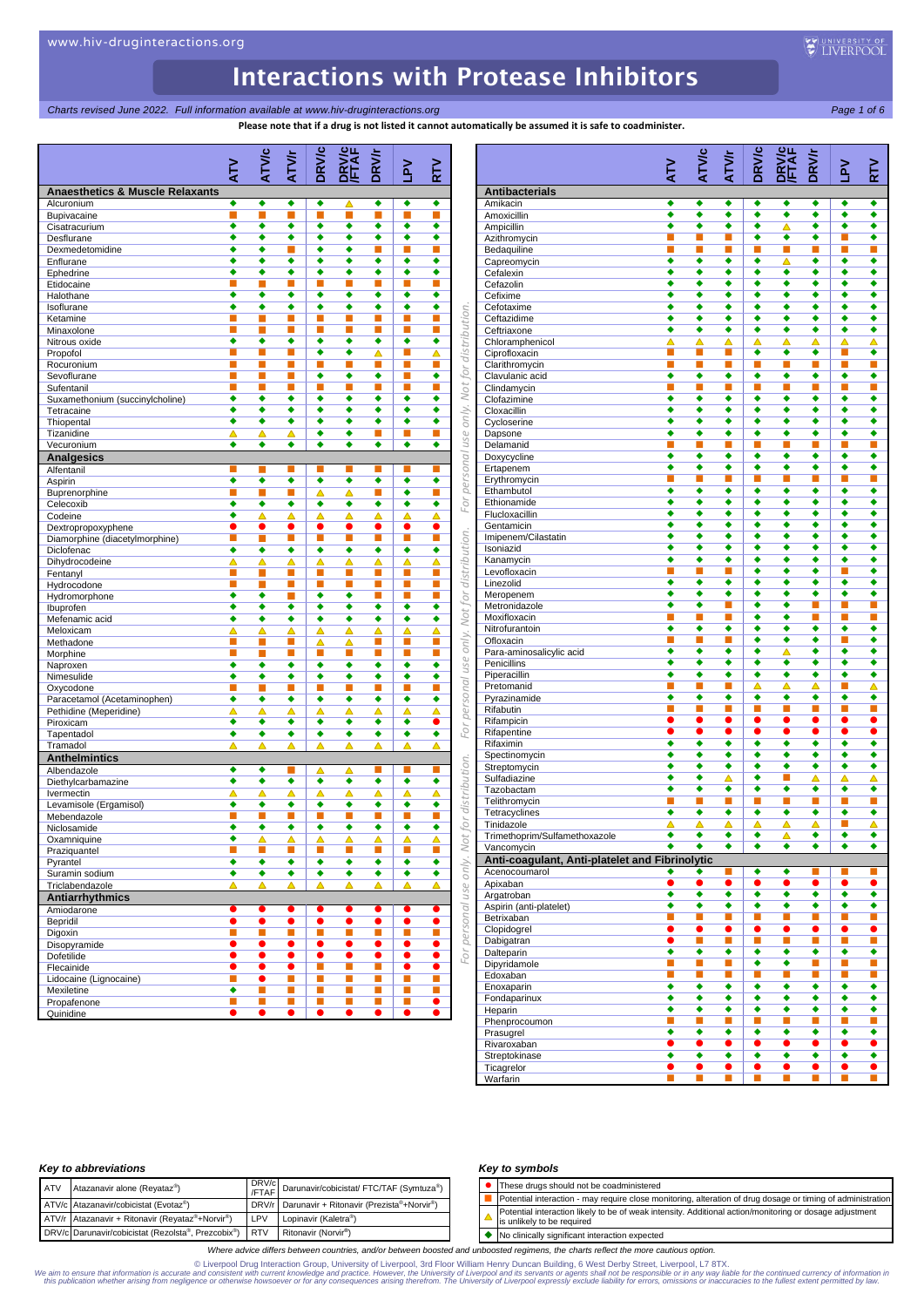**Please note that if a drug is not listed it cannot automatically be assumed it is safe to coadminister.**

|                                                       | ζ                           | ATVIC                       | ATV/r                                                                                                           | <b>DRV/c</b> | <b>DRV/</b><br>FTA          | <b>DRV/r</b>   | $\geq$                      | <b>NLS</b>     |                                 |                              |
|-------------------------------------------------------|-----------------------------|-----------------------------|-----------------------------------------------------------------------------------------------------------------|--------------|-----------------------------|----------------|-----------------------------|----------------|---------------------------------|------------------------------|
| <b>Anaesthetics &amp; Muscle Relaxants</b>            |                             |                             |                                                                                                                 |              |                             |                |                             |                |                                 | <b>Antibacterials</b>        |
| Alcuronium                                            | ٠                           | ٠                           | ٠                                                                                                               | ٠            | △                           | ٠              | ٠                           | ٠              |                                 | Amikacin                     |
| Bupivacaine                                           | г                           | П                           |                                                                                                                 | П            | П                           |                | П                           | т              |                                 | Amoxicillin                  |
| Cisatracurium                                         | ٠                           | ٠                           | ٠                                                                                                               | ٠            | ٠                           | ٠              | ٠                           | ٠              |                                 | Ampicillin                   |
| Desflurane                                            | ٠                           | ٠                           | ٠                                                                                                               | ٠            | ٠                           | ٠              | ٠                           | ٠              |                                 | Azithromycin                 |
| Dexmedetomidine                                       | ٠                           | ٠                           | e al construction de la construction de la construction de la construction de la construction de la constructio | ٠            | ٠                           | п              | п                           | п              |                                 | Bedaquiline                  |
| Enflurane                                             | ٠                           | ٠                           | ٠                                                                                                               | ٠            | ٠                           | ٠              | ٠                           | ٠              |                                 | Capreomycin                  |
| Ephedrine                                             | ٠<br>×                      | ٠<br>П                      | ٠<br>П                                                                                                          | ٠<br>П       | ٠<br>п                      | ٠<br>п         | ٠<br>п                      | ٠<br>п         |                                 | Cefalexin                    |
| Etidocaine<br>Halothane                               | ٠                           | ٠                           | ٠                                                                                                               | ٠            | ٠                           | ٠              | ٠                           | ٠              |                                 | Cefazolin<br>Cefixime        |
| Isoflurane                                            | ٠                           | ٠                           | ٠                                                                                                               | ٠            | ٠                           | ٠              | ٠                           | ٠              |                                 | Cefotaxime                   |
| Ketamine                                              | П                           | г                           | П                                                                                                               | П            | п                           | п              | П                           | П              | only. Not for distribution.     | Ceftazidime                  |
| Minaxolone                                            | ×                           | г                           | п                                                                                                               | п            | п                           | п              | п                           | п              |                                 | Ceftriaxone                  |
| Nitrous oxide                                         | ٠                           | ٠                           | ٠                                                                                                               | ٠            | ٠                           | ٠              | ٠                           | ٠              |                                 | Chloramphenicol              |
| Propofol                                              | п                           | П                           | П                                                                                                               | ٠            | ٠                           | Δ              | L.                          | Δ              |                                 | Ciprofloxacin                |
| Rocuronium                                            | п                           | п                           | П                                                                                                               | П            | п                           | п              | п                           | п              |                                 | Clarithromycin               |
| Sevoflurane                                           | п                           | П                           | ■                                                                                                               | ٠            | ٠                           | ٠              | п                           | ٠              |                                 | Clavulanic acid              |
| Sufentanil                                            | п                           | П                           | П                                                                                                               | П            | п                           | п              | П                           | п              |                                 | Clindamycin                  |
| Suxamethonium (succinylcholine)                       | ٠                           | ٠                           | ٠                                                                                                               | ٠            | ٠                           | ٠              | ٠                           | ٠              |                                 | Clofazimine                  |
| Tetracaine                                            | ٠                           | ٠                           | ٠                                                                                                               | ٠            | ٠                           | ٠              | ٠                           | ٠              |                                 | Cloxacillin                  |
| Thiopental                                            | ٠                           | ٠                           | ٠                                                                                                               | ٠            | ٠                           | ٠              | ٠                           | ٠              |                                 | Cycloserine                  |
| Tizanidine                                            | Δ                           | Δ                           | Δ                                                                                                               | ٠            | ٠                           | п              | п                           | п              |                                 | Dapsone                      |
| Vecuronium                                            | ٠                           | ٠                           | ٠                                                                                                               | ٠            | ٠                           | ٠              | ٠                           | ٠              |                                 | Delamanid                    |
| <b>Analgesics</b>                                     |                             |                             |                                                                                                                 |              |                             |                |                             |                | personal use                    | Doxycycline                  |
| Alfentanil                                            | п                           |                             | п                                                                                                               | п            | п                           | п              | п                           | п              |                                 | Ertapenem                    |
| Aspirin                                               | ٠                           | ٠                           | ٠                                                                                                               | ٠            | ٠                           | ٠              | ٠                           | ٠              |                                 | Erythromycin<br>Ethambutol   |
| Buprenorphine                                         | П<br>٠                      | Г                           | П<br>٠                                                                                                          | Δ            | Δ                           | П              | ٠                           | П<br>٠         | For                             | Ethionamide                  |
| Celecoxib                                             | ٠                           | ٠                           |                                                                                                                 | ٠<br>△       | ٠<br>Δ                      | ٠              | ٠<br>Δ                      | Δ              |                                 | Flucloxacillin               |
| Codeine<br>Dextropropoxyphene                         | $\bullet$                   | Δ<br>$\bullet$              | Δ<br>$\bullet$                                                                                                  | $\bullet$    | $\bullet$                   | Δ<br>$\bullet$ | $\bullet$                   | $\bullet$      |                                 | Gentamicin                   |
| Diamorphine (diacetylmorphine)                        | $\mathcal{L}_{\mathcal{A}}$ | ▉                           | П                                                                                                               | u,           | D.                          | D.             | ш                           | $\blacksquare$ |                                 | Imipenem/Cilastatin          |
| Diclofenac                                            | ٠                           | ٠                           | ٠                                                                                                               | ٠            | ٠                           | ٠              | ٠                           | ٠              |                                 | Isoniazid                    |
| Dihydrocodeine                                        | Δ                           | Δ                           | Δ                                                                                                               | Δ            | Δ                           | Δ              | Δ                           | Δ              |                                 | Kanamycin                    |
| Fentanyl                                              | п                           |                             | ▄                                                                                                               | П            | п                           | п              | п                           | п              |                                 | Levofloxacin                 |
| Hydrocodone                                           | <b>COL</b>                  | ▉                           | п                                                                                                               | П            | ×                           | п              | п                           | П              |                                 | Linezolid                    |
| Hydromorphone                                         | ٠                           | ٠                           | П                                                                                                               | ٠            | ٠                           | п              | п                           | п              | use only. Not for distribution. | Meropenem                    |
| Ibuprofen                                             | ٠                           | ٠                           | ٠                                                                                                               | ٠            | ٠                           | ٠              | ٠                           | ٠              |                                 | Metronidazole                |
| Mefenamic acid                                        | ٠                           | ٠                           | ٠                                                                                                               | ٠            | ٠                           | ٠              | ٠                           | ٠              |                                 | Moxifloxacin                 |
| Meloxicam                                             | Δ                           | ▵                           | Δ                                                                                                               | Δ            | Δ                           | Δ              | Δ                           | Δ              |                                 | Nitrofurantoin               |
| Methadone                                             | ш                           | ш                           | п                                                                                                               | Δ            | Δ                           | п              | п                           | п              |                                 | Ofloxacin                    |
| Morphine                                              | п                           | П                           | п                                                                                                               | П            | П                           | п              | п                           | П              |                                 | Para-aminosalicylic acid     |
| Naproxen                                              | ٠                           | ٠                           | ٠                                                                                                               | ٠            | ٠                           | ٠              | ٠                           | ٠              |                                 | Penicillins<br>Piperacillin  |
| Nimesulide                                            | ٠                           | ٠                           | ٠                                                                                                               | ٠            | ٠                           | ٠              | ٠                           | ٠              | personal                        | Pretomanid                   |
| Oxycodone                                             | П                           |                             | п                                                                                                               | П            | п                           | п              | п                           | П              |                                 | Pyrazinamide                 |
| Paracetamol (Acetaminophen)<br>Pethidine (Meperidine) | ٠<br>Δ                      | ٠<br>Δ                      | ٠<br>Δ                                                                                                          | ٠<br>Δ       | ٠<br>Δ                      | ٠<br>Δ         | ٠<br>Δ                      | ٠<br>Δ         |                                 | Rifabutin                    |
| Piroxicam                                             | ٠                           | ٠                           | ٠                                                                                                               | ٠            | ٠                           | ٠              | ٠                           | $\bullet$      |                                 | Rifampicin                   |
| Tapentadol                                            | ٠                           | ٠                           | ٠                                                                                                               | ٠            | ٠                           | ٠              | ٠                           | ٠              | For                             | Rifapentine                  |
| Tramadol                                              | △                           | △                           | Δ                                                                                                               | Δ            | Δ                           | Δ              | Δ                           | ▵              |                                 | Rifaximin                    |
| <b>Anthelmintics</b>                                  |                             |                             |                                                                                                                 |              |                             |                |                             |                |                                 | Spectinomycin                |
| Albendazole                                           | ٠                           | ٠                           | ш                                                                                                               | Δ            | Δ                           | п              | п                           | п              |                                 | Streptomycin                 |
| Diethylcarbamazine                                    | ٠                           | ٠                           | ٠                                                                                                               | ٠            | ٠                           | ٠              | ٠                           | ٠              |                                 | Sulfadiazine                 |
| Ivermectin                                            | Δ                           | Δ                           | Δ                                                                                                               | Δ            | Δ                           | ▵              | Δ                           | Δ              |                                 | Tazobactam                   |
| Levamisole (Ergamisol)                                | ٠                           | ٠                           | ٠                                                                                                               | ٠            | ٠                           | ٠              | ٠                           | ٠              | distribution.                   | Telithromycin                |
| Mebendazole                                           | п                           | п                           | П                                                                                                               | П            | п                           | п              | п                           | п              |                                 | Tetracyclines                |
| Niclosamide                                           | ٠                           | ٠                           | ٠                                                                                                               | ٠            | ٠                           | ٠              | ٠                           | ٠              | JO,                             | Tinidazole                   |
| Oxamniquine                                           | ٠                           | Δ                           | Δ                                                                                                               | Δ            | Δ                           | Δ              | Δ                           | Δ              |                                 | Trimethoprim/Sulfamethoxazol |
| Praziquantel                                          | <b>In</b>                   | ш                           | $\blacksquare$                                                                                                  | ▉            | ■                           | $\blacksquare$ | ш                           | L.             |                                 | Vancomycin                   |
| Pyrantel                                              | ٠                           | ٠                           | ٠                                                                                                               | ٠            | ٠                           | ٠              | ٠                           | ٠              |                                 | Anti-coagulant, Anti-plat    |
| Suramin sodium                                        | ٠                           | ٠                           | ٠                                                                                                               | ٠            | ٠                           | ٠              | ٠                           | ٠              | only. Not                       | Acenocoumarol                |
| Triclabendazole                                       | Δ                           | Δ                           | Δ                                                                                                               | Δ            | Δ                           | Δ              | Δ                           | Δ              |                                 | Apixaban                     |
| <b>Antiarrhythmics</b>                                |                             |                             |                                                                                                                 |              |                             |                |                             |                |                                 | Argatroban                   |
| Amiodarone                                            | $\bullet$                   | $\bullet$                   | $\bullet$                                                                                                       |              | $\bullet$                   |                | $\bullet$                   | ●              |                                 | Aspirin (anti-platelet)      |
| Bepridil                                              | $\bullet$                   | $\bullet$                   | $\bullet$                                                                                                       | $\bullet$    | $\bullet$                   | $\bullet$      | $\bullet$                   | $\bullet$      |                                 | Betrixaban                   |
| Digoxin                                               | $\mathcal{L}_{\mathcal{A}}$ | $\mathcal{L}_{\mathcal{A}}$ | L.                                                                                                              | Π            | Т.                          | Т.             | $\mathcal{L}_{\mathcal{A}}$ | П              |                                 | Clopidogrel                  |
| Disopyramide                                          |                             | $\bullet$                   | $\bullet$                                                                                                       | $\bullet$    | $\bullet$                   | $\bullet$      | $\bullet$                   | $\bullet$      | For personal use                | Dabigatran                   |
| Dofetilide                                            | $\bullet$                   | $\bullet$                   | $\bullet$                                                                                                       | $\bullet$    | $\bullet$                   | $\bullet$      | $\bullet$                   | $\bullet$      |                                 | Dalteparin                   |
| Flecainide                                            | $\bullet$                   | $\bullet$                   | $\bullet$                                                                                                       | L.           | $\mathcal{L}_{\mathcal{A}}$ | $\blacksquare$ | $\bullet$                   | $\bullet$      |                                 | Dipyridamole<br>Edoxaban     |
| Lidocaine (Lignocaine)                                | $\mathcal{L}_{\mathcal{A}}$ | $\bullet$                   | П                                                                                                               | П            | $\mathcal{L}_{\mathcal{A}}$ | п              | Т.                          | п              |                                 | Enoxaparin                   |
| Mexiletine                                            | ٠                           | o,                          | $\blacksquare$                                                                                                  | u.           | $\mathbb{R}^n$              | $\blacksquare$ | ш                           | $\blacksquare$ |                                 | Fondaparinux                 |
| Propafenone                                           | $\mathcal{L}_{\mathcal{A}}$ | $\mathcal{L}_{\mathcal{A}}$ | $\Box$                                                                                                          | П            | $\mathcal{L}_{\mathcal{A}}$ | <b>I</b>       | $\mathcal{L}_{\mathcal{A}}$ | $\bullet$      |                                 | Heparin                      |
| Quinidine                                             | $\bullet$                   | $\bullet$                   | $\bullet$                                                                                                       | $\bullet$    | $\bullet$                   | $\bullet$      | $\bullet$                   | $\bullet$      |                                 | Phenprocoumon                |

|                                   | ζ                                                                                                                                                                                                                                                                                                                                                                                                                                                                                                                                                                                                                                                                                                                                                                                                                                                                                                                                                                                                                                                                                                                                                                                                                                                                                                                                                                                                                                                                                                                                                                                                                                                                                                                                                                                                                                                                                                                                                                                                                                                                                                                                                                                                                                                                                                                                                      | <b>ATVc</b>          | ATV/r                | <b>DRV/c</b> | <b>DRV/C</b><br>FTAF | <b>DRV/r</b>              | $\mathsf{S}^{\mathsf{L}}$ |                           |
|-----------------------------------|--------------------------------------------------------------------------------------------------------------------------------------------------------------------------------------------------------------------------------------------------------------------------------------------------------------------------------------------------------------------------------------------------------------------------------------------------------------------------------------------------------------------------------------------------------------------------------------------------------------------------------------------------------------------------------------------------------------------------------------------------------------------------------------------------------------------------------------------------------------------------------------------------------------------------------------------------------------------------------------------------------------------------------------------------------------------------------------------------------------------------------------------------------------------------------------------------------------------------------------------------------------------------------------------------------------------------------------------------------------------------------------------------------------------------------------------------------------------------------------------------------------------------------------------------------------------------------------------------------------------------------------------------------------------------------------------------------------------------------------------------------------------------------------------------------------------------------------------------------------------------------------------------------------------------------------------------------------------------------------------------------------------------------------------------------------------------------------------------------------------------------------------------------------------------------------------------------------------------------------------------------------------------------------------------------------------------------------------------------|----------------------|----------------------|--------------|----------------------|---------------------------|---------------------------|---------------------------|
|                                   |                                                                                                                                                                                                                                                                                                                                                                                                                                                                                                                                                                                                                                                                                                                                                                                                                                                                                                                                                                                                                                                                                                                                                                                                                                                                                                                                                                                                                                                                                                                                                                                                                                                                                                                                                                                                                                                                                                                                                                                                                                                                                                                                                                                                                                                                                                                                                        |                      |                      |              |                      |                           |                           | ∠<br>∑                    |
| <b>Antibacterials</b><br>Amikacin | ٠                                                                                                                                                                                                                                                                                                                                                                                                                                                                                                                                                                                                                                                                                                                                                                                                                                                                                                                                                                                                                                                                                                                                                                                                                                                                                                                                                                                                                                                                                                                                                                                                                                                                                                                                                                                                                                                                                                                                                                                                                                                                                                                                                                                                                                                                                                                                                      | ٠                    | ٠                    | ٠            | ٠                    | ٠                         | ٠                         | ٠                         |
| Amoxicillin                       | ٠                                                                                                                                                                                                                                                                                                                                                                                                                                                                                                                                                                                                                                                                                                                                                                                                                                                                                                                                                                                                                                                                                                                                                                                                                                                                                                                                                                                                                                                                                                                                                                                                                                                                                                                                                                                                                                                                                                                                                                                                                                                                                                                                                                                                                                                                                                                                                      | ٠                    | ٠                    | ٠            | ٠                    | ٠                         | ٠                         | ٠                         |
| Ampicillin                        | ٠                                                                                                                                                                                                                                                                                                                                                                                                                                                                                                                                                                                                                                                                                                                                                                                                                                                                                                                                                                                                                                                                                                                                                                                                                                                                                                                                                                                                                                                                                                                                                                                                                                                                                                                                                                                                                                                                                                                                                                                                                                                                                                                                                                                                                                                                                                                                                      | ٠                    | ٠                    | ٠            | Δ                    | ٠                         | ٠                         | ٠                         |
| Azithromycin<br>Bedaquiline       |                                                                                                                                                                                                                                                                                                                                                                                                                                                                                                                                                                                                                                                                                                                                                                                                                                                                                                                                                                                                                                                                                                                                                                                                                                                                                                                                                                                                                                                                                                                                                                                                                                                                                                                                                                                                                                                                                                                                                                                                                                                                                                                                                                                                                                                                                                                                                        |                      |                      |              |                      |                           |                           | ٠<br>п                    |
| Capreomycin                       | ٠                                                                                                                                                                                                                                                                                                                                                                                                                                                                                                                                                                                                                                                                                                                                                                                                                                                                                                                                                                                                                                                                                                                                                                                                                                                                                                                                                                                                                                                                                                                                                                                                                                                                                                                                                                                                                                                                                                                                                                                                                                                                                                                                                                                                                                                                                                                                                      | ٠                    | ٠                    | ٠            | △                    | ٠                         | ٠                         | ٠                         |
| Cefalexin                         | ٠                                                                                                                                                                                                                                                                                                                                                                                                                                                                                                                                                                                                                                                                                                                                                                                                                                                                                                                                                                                                                                                                                                                                                                                                                                                                                                                                                                                                                                                                                                                                                                                                                                                                                                                                                                                                                                                                                                                                                                                                                                                                                                                                                                                                                                                                                                                                                      | ٠                    | ٠                    | ٠            | ٠                    | ٠                         | ٠                         | ٠                         |
| Cefazolin<br>Cefixime             |                                                                                                                                                                                                                                                                                                                                                                                                                                                                                                                                                                                                                                                                                                                                                                                                                                                                                                                                                                                                                                                                                                                                                                                                                                                                                                                                                                                                                                                                                                                                                                                                                                                                                                                                                                                                                                                                                                                                                                                                                                                                                                                                                                                                                                                                                                                                                        |                      |                      |              |                      |                           |                           | ٠<br>٠                    |
| Cefotaxime                        |                                                                                                                                                                                                                                                                                                                                                                                                                                                                                                                                                                                                                                                                                                                                                                                                                                                                                                                                                                                                                                                                                                                                                                                                                                                                                                                                                                                                                                                                                                                                                                                                                                                                                                                                                                                                                                                                                                                                                                                                                                                                                                                                                                                                                                                                                                                                                        |                      |                      |              |                      |                           |                           | ٠                         |
| Ceftazidime                       | ٠                                                                                                                                                                                                                                                                                                                                                                                                                                                                                                                                                                                                                                                                                                                                                                                                                                                                                                                                                                                                                                                                                                                                                                                                                                                                                                                                                                                                                                                                                                                                                                                                                                                                                                                                                                                                                                                                                                                                                                                                                                                                                                                                                                                                                                                                                                                                                      | ٠                    | ٠                    | ٠            | ٠                    | ٠                         | ٠                         | ٠                         |
| Ceftriaxone                       | ٠                                                                                                                                                                                                                                                                                                                                                                                                                                                                                                                                                                                                                                                                                                                                                                                                                                                                                                                                                                                                                                                                                                                                                                                                                                                                                                                                                                                                                                                                                                                                                                                                                                                                                                                                                                                                                                                                                                                                                                                                                                                                                                                                                                                                                                                                                                                                                      | ٠                    | ٠                    | ٠            | ٠                    | ٠                         | ٠                         | ٠                         |
| Chloramphenicol<br>Ciprofloxacin  |                                                                                                                                                                                                                                                                                                                                                                                                                                                                                                                                                                                                                                                                                                                                                                                                                                                                                                                                                                                                                                                                                                                                                                                                                                                                                                                                                                                                                                                                                                                                                                                                                                                                                                                                                                                                                                                                                                                                                                                                                                                                                                                                                                                                                                                                                                                                                        |                      |                      |              |                      |                           |                           | Δ<br>٠                    |
| Clarithromycin                    | п                                                                                                                                                                                                                                                                                                                                                                                                                                                                                                                                                                                                                                                                                                                                                                                                                                                                                                                                                                                                                                                                                                                                                                                                                                                                                                                                                                                                                                                                                                                                                                                                                                                                                                                                                                                                                                                                                                                                                                                                                                                                                                                                                                                                                                                                                                                                                      | п                    | П                    | П            | п                    | П                         | п                         | п                         |
| Clavulanic acid                   | ٠                                                                                                                                                                                                                                                                                                                                                                                                                                                                                                                                                                                                                                                                                                                                                                                                                                                                                                                                                                                                                                                                                                                                                                                                                                                                                                                                                                                                                                                                                                                                                                                                                                                                                                                                                                                                                                                                                                                                                                                                                                                                                                                                                                                                                                                                                                                                                      | ٠                    | ٠                    | ٠            | ٠                    | ٠                         | ٠                         | ٠                         |
| Clindamycin                       |                                                                                                                                                                                                                                                                                                                                                                                                                                                                                                                                                                                                                                                                                                                                                                                                                                                                                                                                                                                                                                                                                                                                                                                                                                                                                                                                                                                                                                                                                                                                                                                                                                                                                                                                                                                                                                                                                                                                                                                                                                                                                                                                                                                                                                                                                                                                                        |                      |                      |              |                      |                           |                           | п<br>٠                    |
| Clofazimine<br>Cloxacillin        |                                                                                                                                                                                                                                                                                                                                                                                                                                                                                                                                                                                                                                                                                                                                                                                                                                                                                                                                                                                                                                                                                                                                                                                                                                                                                                                                                                                                                                                                                                                                                                                                                                                                                                                                                                                                                                                                                                                                                                                                                                                                                                                                                                                                                                                                                                                                                        |                      |                      |              |                      |                           |                           | ٠                         |
| Cycloserine                       | ٠                                                                                                                                                                                                                                                                                                                                                                                                                                                                                                                                                                                                                                                                                                                                                                                                                                                                                                                                                                                                                                                                                                                                                                                                                                                                                                                                                                                                                                                                                                                                                                                                                                                                                                                                                                                                                                                                                                                                                                                                                                                                                                                                                                                                                                                                                                                                                      | ٠                    | ٠                    | ٠            | ٠                    | ٠                         | ٠                         | ٠                         |
| Dapsone                           | ٠                                                                                                                                                                                                                                                                                                                                                                                                                                                                                                                                                                                                                                                                                                                                                                                                                                                                                                                                                                                                                                                                                                                                                                                                                                                                                                                                                                                                                                                                                                                                                                                                                                                                                                                                                                                                                                                                                                                                                                                                                                                                                                                                                                                                                                                                                                                                                      | ٠                    | ٠                    | ٠            | ٠                    | ٠                         | ٠                         | ٠                         |
| Delamanid                         |                                                                                                                                                                                                                                                                                                                                                                                                                                                                                                                                                                                                                                                                                                                                                                                                                                                                                                                                                                                                                                                                                                                                                                                                                                                                                                                                                                                                                                                                                                                                                                                                                                                                                                                                                                                                                                                                                                                                                                                                                                                                                                                                                                                                                                                                                                                                                        |                      |                      |              |                      |                           |                           | П<br>٠                    |
| Doxycycline<br>Ertapenem          |                                                                                                                                                                                                                                                                                                                                                                                                                                                                                                                                                                                                                                                                                                                                                                                                                                                                                                                                                                                                                                                                                                                                                                                                                                                                                                                                                                                                                                                                                                                                                                                                                                                                                                                                                                                                                                                                                                                                                                                                                                                                                                                                                                                                                                                                                                                                                        |                      |                      |              |                      |                           |                           | ٠                         |
| Erythromycin                      | L.                                                                                                                                                                                                                                                                                                                                                                                                                                                                                                                                                                                                                                                                                                                                                                                                                                                                                                                                                                                                                                                                                                                                                                                                                                                                                                                                                                                                                                                                                                                                                                                                                                                                                                                                                                                                                                                                                                                                                                                                                                                                                                                                                                                                                                                                                                                                                     |                      | L                    | ш            |                      | n a                       | <b>Service Service</b>    | r.                        |
| Ethambutol                        | ٠                                                                                                                                                                                                                                                                                                                                                                                                                                                                                                                                                                                                                                                                                                                                                                                                                                                                                                                                                                                                                                                                                                                                                                                                                                                                                                                                                                                                                                                                                                                                                                                                                                                                                                                                                                                                                                                                                                                                                                                                                                                                                                                                                                                                                                                                                                                                                      | ٠                    | ٠                    | ٠            | ٠                    | ٠                         | ٠                         | ٠                         |
| Ethionamide<br>Flucloxacillin     |                                                                                                                                                                                                                                                                                                                                                                                                                                                                                                                                                                                                                                                                                                                                                                                                                                                                                                                                                                                                                                                                                                                                                                                                                                                                                                                                                                                                                                                                                                                                                                                                                                                                                                                                                                                                                                                                                                                                                                                                                                                                                                                                                                                                                                                                                                                                                        |                      |                      |              |                      |                           |                           | ٠<br>٠                    |
| Gentamicin                        | $\overline{\bullet}$                                                                                                                                                                                                                                                                                                                                                                                                                                                                                                                                                                                                                                                                                                                                                                                                                                                                                                                                                                                                                                                                                                                                                                                                                                                                                                                                                                                                                                                                                                                                                                                                                                                                                                                                                                                                                                                                                                                                                                                                                                                                                                                                                                                                                                                                                                                                   | $\overline{\bullet}$ | ◆                    | ٠            | ◆                    | $\overline{\bullet}$      | ◆                         | $\overline{\bullet}$      |
| Imipenem/Cilastatin               | ٠                                                                                                                                                                                                                                                                                                                                                                                                                                                                                                                                                                                                                                                                                                                                                                                                                                                                                                                                                                                                                                                                                                                                                                                                                                                                                                                                                                                                                                                                                                                                                                                                                                                                                                                                                                                                                                                                                                                                                                                                                                                                                                                                                                                                                                                                                                                                                      | ٠                    | ٠                    | ٠            | ٠                    | ٠                         | ٠                         | ٠                         |
| Isoniazid                         | ٠                                                                                                                                                                                                                                                                                                                                                                                                                                                                                                                                                                                                                                                                                                                                                                                                                                                                                                                                                                                                                                                                                                                                                                                                                                                                                                                                                                                                                                                                                                                                                                                                                                                                                                                                                                                                                                                                                                                                                                                                                                                                                                                                                                                                                                                                                                                                                      | ٠                    | ٠                    | ٠            | ٠                    | ٠                         | ٠                         | ٠                         |
| Kanamycin                         |                                                                                                                                                                                                                                                                                                                                                                                                                                                                                                                                                                                                                                                                                                                                                                                                                                                                                                                                                                                                                                                                                                                                                                                                                                                                                                                                                                                                                                                                                                                                                                                                                                                                                                                                                                                                                                                                                                                                                                                                                                                                                                                                                                                                                                                                                                                                                        |                      |                      |              |                      |                           |                           | ٠                         |
| Levofloxacin<br>Linezolid         |                                                                                                                                                                                                                                                                                                                                                                                                                                                                                                                                                                                                                                                                                                                                                                                                                                                                                                                                                                                                                                                                                                                                                                                                                                                                                                                                                                                                                                                                                                                                                                                                                                                                                                                                                                                                                                                                                                                                                                                                                                                                                                                                                                                                                                                                                                                                                        |                      |                      |              |                      |                           |                           | ٠<br>٠                    |
| Meropenem                         | ٠                                                                                                                                                                                                                                                                                                                                                                                                                                                                                                                                                                                                                                                                                                                                                                                                                                                                                                                                                                                                                                                                                                                                                                                                                                                                                                                                                                                                                                                                                                                                                                                                                                                                                                                                                                                                                                                                                                                                                                                                                                                                                                                                                                                                                                                                                                                                                      | ٠                    | ٠                    | ٠            | ٠                    | ٠                         | ٠                         | ٠                         |
| Metronidazole                     | ٠                                                                                                                                                                                                                                                                                                                                                                                                                                                                                                                                                                                                                                                                                                                                                                                                                                                                                                                                                                                                                                                                                                                                                                                                                                                                                                                                                                                                                                                                                                                                                                                                                                                                                                                                                                                                                                                                                                                                                                                                                                                                                                                                                                                                                                                                                                                                                      | ٠                    | П                    | ٠            | ٠                    | п                         | П                         | п                         |
| Moxifloxacin                      |                                                                                                                                                                                                                                                                                                                                                                                                                                                                                                                                                                                                                                                                                                                                                                                                                                                                                                                                                                                                                                                                                                                                                                                                                                                                                                                                                                                                                                                                                                                                                                                                                                                                                                                                                                                                                                                                                                                                                                                                                                                                                                                                                                                                                                                                                                                                                        |                      |                      |              |                      |                           |                           | п                         |
| Nitrofurantoin<br>Ofloxacin       |                                                                                                                                                                                                                                                                                                                                                                                                                                                                                                                                                                                                                                                                                                                                                                                                                                                                                                                                                                                                                                                                                                                                                                                                                                                                                                                                                                                                                                                                                                                                                                                                                                                                                                                                                                                                                                                                                                                                                                                                                                                                                                                                                                                                                                                                                                                                                        |                      | П                    |              |                      |                           | п                         | ٠<br>٠                    |
| Para-aminosalicylic acid          | ٠                                                                                                                                                                                                                                                                                                                                                                                                                                                                                                                                                                                                                                                                                                                                                                                                                                                                                                                                                                                                                                                                                                                                                                                                                                                                                                                                                                                                                                                                                                                                                                                                                                                                                                                                                                                                                                                                                                                                                                                                                                                                                                                                                                                                                                                                                                                                                      | ٠                    | ٠                    | ٠            | ▵                    | ٠                         | ٠                         | ٠                         |
| Penicillins                       | ٠                                                                                                                                                                                                                                                                                                                                                                                                                                                                                                                                                                                                                                                                                                                                                                                                                                                                                                                                                                                                                                                                                                                                                                                                                                                                                                                                                                                                                                                                                                                                                                                                                                                                                                                                                                                                                                                                                                                                                                                                                                                                                                                                                                                                                                                                                                                                                      | ٠                    | ٠                    | ٠            | ٠                    | ٠                         | ٠                         | ٠                         |
| Piperacillin                      |                                                                                                                                                                                                                                                                                                                                                                                                                                                                                                                                                                                                                                                                                                                                                                                                                                                                                                                                                                                                                                                                                                                                                                                                                                                                                                                                                                                                                                                                                                                                                                                                                                                                                                                                                                                                                                                                                                                                                                                                                                                                                                                                                                                                                                                                                                                                                        |                      |                      |              |                      |                           |                           | ٠<br>Δ                    |
| Pretomanid<br>Pyrazinamide        | $\overline{\bullet}$                                                                                                                                                                                                                                                                                                                                                                                                                                                                                                                                                                                                                                                                                                                                                                                                                                                                                                                                                                                                                                                                                                                                                                                                                                                                                                                                                                                                                                                                                                                                                                                                                                                                                                                                                                                                                                                                                                                                                                                                                                                                                                                                                                                                                                                                                                                                   | ٠                    | $\overline{\bullet}$ | ٠            | ◆                    | $\overline{\bullet}$      | $\overline{\bullet}$      | ٠                         |
| Rifabutin                         | П                                                                                                                                                                                                                                                                                                                                                                                                                                                                                                                                                                                                                                                                                                                                                                                                                                                                                                                                                                                                                                                                                                                                                                                                                                                                                                                                                                                                                                                                                                                                                                                                                                                                                                                                                                                                                                                                                                                                                                                                                                                                                                                                                                                                                                                                                                                                                      | п                    | П                    | П            | п                    | П                         | п                         | п                         |
| Rifampicin                        | $\bullet$                                                                                                                                                                                                                                                                                                                                                                                                                                                                                                                                                                                                                                                                                                                                                                                                                                                                                                                                                                                                                                                                                                                                                                                                                                                                                                                                                                                                                                                                                                                                                                                                                                                                                                                                                                                                                                                                                                                                                                                                                                                                                                                                                                                                                                                                                                                                              | $\bullet$            | $\bullet$            | $\bullet$    | $\bullet$            | $\bullet$                 | $\bullet$                 | $\bullet$                 |
| Rifapentine                       |                                                                                                                                                                                                                                                                                                                                                                                                                                                                                                                                                                                                                                                                                                                                                                                                                                                                                                                                                                                                                                                                                                                                                                                                                                                                                                                                                                                                                                                                                                                                                                                                                                                                                                                                                                                                                                                                                                                                                                                                                                                                                                                                                                                                                                                                                                                                                        |                      |                      |              |                      |                           |                           | $\bullet$<br>٠            |
| Rifaximin<br>Spectinomycin        |                                                                                                                                                                                                                                                                                                                                                                                                                                                                                                                                                                                                                                                                                                                                                                                                                                                                                                                                                                                                                                                                                                                                                                                                                                                                                                                                                                                                                                                                                                                                                                                                                                                                                                                                                                                                                                                                                                                                                                                                                                                                                                                                                                                                                                                                                                                                                        |                      |                      |              |                      |                           |                           | ٠                         |
| Streptomycin                      | П<br>П<br>П<br>П<br>П<br>п<br>п<br>٠<br>٠<br>٠<br>٠<br>٠<br>٠<br>٠<br>٠<br>٠<br>٠<br>٠<br>٠<br>٠<br>٠<br>٠<br>٠<br>٠<br>٠<br>٠<br>٠<br>٠<br>Δ<br>Δ<br>Δ<br>Δ<br>Δ<br>Δ<br>Δ<br>٠<br>٠<br>٠<br>П<br>п<br>■<br>п<br>г<br>П<br>П<br>٠<br>٠<br>٠<br>٠<br>٠<br>٠<br>٠<br>٠<br>٠<br>٠<br>٠<br>٠<br>٠<br>٠<br>ū<br>П<br>п<br>п<br>П<br>п<br>П<br>٠<br>٠<br>٠<br>٠<br>٠<br>٠<br>٠<br>٠<br>٠<br>٠<br>٠<br>٠<br>٠<br>٠<br>٠<br>٠<br>٠<br>٠<br>٠<br>٠<br>٠<br>٠<br>◆<br>٠<br>٠<br>٠<br>٠<br>٠<br>٠<br>٠<br>٠<br>٠<br>٠<br>٠<br>٠<br>п<br>П<br>٠<br>٠<br>٠<br>٠<br>٠<br>٠<br>٠<br>٠<br>٠<br>٠<br>п<br>п<br>П<br>п<br>п<br>٠<br>٠<br>٠<br>٠<br>٠<br>٠<br>٠<br>٠<br>٠<br>ū<br>п<br>٠<br>٠<br>٠<br>٠<br>٠<br>٠<br>٠<br>٠<br>٠<br>٠<br>ū<br>Δ<br>Δ<br>Δ<br>▄<br>П<br>■<br>$\bullet$<br>$\bullet$<br>$\bullet$<br>$\bullet$<br>$\bullet$<br>$\bullet$<br>$\bullet$<br>٠<br>٠<br>٠<br>٠<br>٠<br>٠<br>٠<br>٠<br>٠<br>٠<br>٠<br>٠<br>٠<br>٠<br>٠<br>٠<br>٠<br>٠<br>٠<br>٠<br>٠<br>٠<br>٠<br>Δ<br>٠<br>Δ<br>△<br>■<br>٠<br>٠<br>٠<br>◆<br>$\overline{\bullet}$<br>٠<br>$\overline{\bullet}$<br>■<br>■<br>П<br>П<br>п<br>п<br>П<br>٠<br>٠<br>٠<br>٠<br>٠<br>٠<br>٠<br>▵<br>△<br>△<br>▵<br>▵<br>▵<br>П<br>٠<br>٠<br>Δ<br>◆<br>◆<br>٠<br>٠<br>Anti-coagulant, Anti-platelet and Fibrinolytic<br>٠<br>٠<br>■<br>٠<br>┓<br>■<br>$\overline{\bullet}$<br>$\overline{\bullet}$<br>$\bullet$<br>$\bullet$<br>$\bullet$<br>$\bullet$<br>$\bullet$<br>٠<br>٠<br>٠<br>٠<br>٠<br>٠<br>٠<br>٠<br>٠<br>٠<br>٠<br>٠<br>٠<br>٠<br>п<br>П<br>П<br>П<br>П<br>п<br>п<br>$\overline{\bullet}$<br>$\bullet$<br>$\bullet$<br>$\overline{\bullet}$<br>$\bullet$<br>$\bullet$<br>$\bullet$<br>$\blacksquare$<br>$\bullet$<br>$\mathcal{L}_{\mathcal{A}}$<br>u,<br>П<br>ш<br>ш<br>٠<br>٠<br>٠<br>٠<br>٠<br>٠<br>٠<br>П<br>П<br>П<br>П<br>٠<br>٠<br>п<br>П<br>$\mathbb{Z}^2$<br>П<br>П<br>П<br>П<br>п<br>٠<br>٠<br>٠<br>٠<br>٠<br>٠<br>٠<br>٠<br>٠<br>٠<br>٠<br>٠<br>٠<br>٠<br>$\overline{\bullet}$<br>٠<br>٠<br>٠<br>٠<br>٠<br>٠<br>П<br>$\Box$<br>П<br>П<br>п<br>П<br>П<br>٠<br>٠<br>٠<br>٠<br>٠<br>٠<br>٠<br>$\bullet$<br>$\bullet$<br>$\bullet$<br>$\bullet$<br>$\bullet$<br>$\bullet$<br>$\bullet$<br>٠<br>٠<br>٠<br>٠<br>٠<br>٠<br>٠<br>$\bullet$<br>$\bullet$<br>$\bullet$<br>$\bullet$<br>$\bullet$<br>$\bullet$<br>$\bullet$<br>п<br>$\mathcal{L}_{\mathcal{A}}$<br>E<br>П<br>L.<br>Т.<br>E. |                      |                      |              |                      |                           | ٠                         |                           |
| Sulfadiazine                      |                                                                                                                                                                                                                                                                                                                                                                                                                                                                                                                                                                                                                                                                                                                                                                                                                                                                                                                                                                                                                                                                                                                                                                                                                                                                                                                                                                                                                                                                                                                                                                                                                                                                                                                                                                                                                                                                                                                                                                                                                                                                                                                                                                                                                                                                                                                                                        |                      |                      |              |                      | △                         |                           |                           |
| Tazobactam                        | ٠<br>٠<br>п<br>г<br>٠                                                                                                                                                                                                                                                                                                                                                                                                                                                                                                                                                                                                                                                                                                                                                                                                                                                                                                                                                                                                                                                                                                                                                                                                                                                                                                                                                                                                                                                                                                                                                                                                                                                                                                                                                                                                                                                                                                                                                                                                                                                                                                                                                                                                                                                                                                                                  |                      |                      |              |                      | $\overline{\bullet}$<br>п |                           |                           |
| Telithromycin<br>Tetracyclines    |                                                                                                                                                                                                                                                                                                                                                                                                                                                                                                                                                                                                                                                                                                                                                                                                                                                                                                                                                                                                                                                                                                                                                                                                                                                                                                                                                                                                                                                                                                                                                                                                                                                                                                                                                                                                                                                                                                                                                                                                                                                                                                                                                                                                                                                                                                                                                        |                      |                      |              |                      | ٠                         |                           |                           |
| Tinidazole                        |                                                                                                                                                                                                                                                                                                                                                                                                                                                                                                                                                                                                                                                                                                                                                                                                                                                                                                                                                                                                                                                                                                                                                                                                                                                                                                                                                                                                                                                                                                                                                                                                                                                                                                                                                                                                                                                                                                                                                                                                                                                                                                                                                                                                                                                                                                                                                        |                      |                      |              |                      | ▵                         |                           |                           |
| Trimethoprim/Sulfamethoxazole     |                                                                                                                                                                                                                                                                                                                                                                                                                                                                                                                                                                                                                                                                                                                                                                                                                                                                                                                                                                                                                                                                                                                                                                                                                                                                                                                                                                                                                                                                                                                                                                                                                                                                                                                                                                                                                                                                                                                                                                                                                                                                                                                                                                                                                                                                                                                                                        |                      |                      |              | ٠                    |                           |                           |                           |
| Vancomycin                        |                                                                                                                                                                                                                                                                                                                                                                                                                                                                                                                                                                                                                                                                                                                                                                                                                                                                                                                                                                                                                                                                                                                                                                                                                                                                                                                                                                                                                                                                                                                                                                                                                                                                                                                                                                                                                                                                                                                                                                                                                                                                                                                                                                                                                                                                                                                                                        |                      |                      |              |                      |                           |                           |                           |
| Acenocoumarol                     |                                                                                                                                                                                                                                                                                                                                                                                                                                                                                                                                                                                                                                                                                                                                                                                                                                                                                                                                                                                                                                                                                                                                                                                                                                                                                                                                                                                                                                                                                                                                                                                                                                                                                                                                                                                                                                                                                                                                                                                                                                                                                                                                                                                                                                                                                                                                                        |                      |                      |              |                      |                           |                           | ■                         |
| Apixaban                          |                                                                                                                                                                                                                                                                                                                                                                                                                                                                                                                                                                                                                                                                                                                                                                                                                                                                                                                                                                                                                                                                                                                                                                                                                                                                                                                                                                                                                                                                                                                                                                                                                                                                                                                                                                                                                                                                                                                                                                                                                                                                                                                                                                                                                                                                                                                                                        |                      |                      |              |                      |                           |                           | $\bullet$                 |
| Argatroban                        |                                                                                                                                                                                                                                                                                                                                                                                                                                                                                                                                                                                                                                                                                                                                                                                                                                                                                                                                                                                                                                                                                                                                                                                                                                                                                                                                                                                                                                                                                                                                                                                                                                                                                                                                                                                                                                                                                                                                                                                                                                                                                                                                                                                                                                                                                                                                                        |                      |                      |              |                      |                           |                           | ٠                         |
| Aspirin (anti-platelet)           |                                                                                                                                                                                                                                                                                                                                                                                                                                                                                                                                                                                                                                                                                                                                                                                                                                                                                                                                                                                                                                                                                                                                                                                                                                                                                                                                                                                                                                                                                                                                                                                                                                                                                                                                                                                                                                                                                                                                                                                                                                                                                                                                                                                                                                                                                                                                                        |                      |                      |              |                      |                           |                           | ٠                         |
| Betrixaban<br>Clopidogrel         |                                                                                                                                                                                                                                                                                                                                                                                                                                                                                                                                                                                                                                                                                                                                                                                                                                                                                                                                                                                                                                                                                                                                                                                                                                                                                                                                                                                                                                                                                                                                                                                                                                                                                                                                                                                                                                                                                                                                                                                                                                                                                                                                                                                                                                                                                                                                                        |                      |                      |              |                      |                           |                           | п<br>$\overline{\bullet}$ |
| Dabigatran                        |                                                                                                                                                                                                                                                                                                                                                                                                                                                                                                                                                                                                                                                                                                                                                                                                                                                                                                                                                                                                                                                                                                                                                                                                                                                                                                                                                                                                                                                                                                                                                                                                                                                                                                                                                                                                                                                                                                                                                                                                                                                                                                                                                                                                                                                                                                                                                        |                      |                      |              |                      |                           |                           | п                         |
| Dalteparin                        |                                                                                                                                                                                                                                                                                                                                                                                                                                                                                                                                                                                                                                                                                                                                                                                                                                                                                                                                                                                                                                                                                                                                                                                                                                                                                                                                                                                                                                                                                                                                                                                                                                                                                                                                                                                                                                                                                                                                                                                                                                                                                                                                                                                                                                                                                                                                                        |                      |                      |              |                      |                           |                           | ٠                         |
| Dipyridamole                      |                                                                                                                                                                                                                                                                                                                                                                                                                                                                                                                                                                                                                                                                                                                                                                                                                                                                                                                                                                                                                                                                                                                                                                                                                                                                                                                                                                                                                                                                                                                                                                                                                                                                                                                                                                                                                                                                                                                                                                                                                                                                                                                                                                                                                                                                                                                                                        |                      | п<br>п               |              |                      |                           |                           |                           |
| Edoxaban<br>Enoxaparin            |                                                                                                                                                                                                                                                                                                                                                                                                                                                                                                                                                                                                                                                                                                                                                                                                                                                                                                                                                                                                                                                                                                                                                                                                                                                                                                                                                                                                                                                                                                                                                                                                                                                                                                                                                                                                                                                                                                                                                                                                                                                                                                                                                                                                                                                                                                                                                        |                      |                      |              |                      |                           |                           | ٠                         |
| Fondaparinux                      |                                                                                                                                                                                                                                                                                                                                                                                                                                                                                                                                                                                                                                                                                                                                                                                                                                                                                                                                                                                                                                                                                                                                                                                                                                                                                                                                                                                                                                                                                                                                                                                                                                                                                                                                                                                                                                                                                                                                                                                                                                                                                                                                                                                                                                                                                                                                                        |                      |                      |              |                      |                           |                           | ٠                         |
| Heparin                           |                                                                                                                                                                                                                                                                                                                                                                                                                                                                                                                                                                                                                                                                                                                                                                                                                                                                                                                                                                                                                                                                                                                                                                                                                                                                                                                                                                                                                                                                                                                                                                                                                                                                                                                                                                                                                                                                                                                                                                                                                                                                                                                                                                                                                                                                                                                                                        |                      |                      |              |                      |                           |                           | ٠                         |
| Phenprocoumon                     |                                                                                                                                                                                                                                                                                                                                                                                                                                                                                                                                                                                                                                                                                                                                                                                                                                                                                                                                                                                                                                                                                                                                                                                                                                                                                                                                                                                                                                                                                                                                                                                                                                                                                                                                                                                                                                                                                                                                                                                                                                                                                                                                                                                                                                                                                                                                                        |                      |                      |              |                      |                           |                           | L.<br>٠                   |
| Prasugrel<br>Rivaroxaban          |                                                                                                                                                                                                                                                                                                                                                                                                                                                                                                                                                                                                                                                                                                                                                                                                                                                                                                                                                                                                                                                                                                                                                                                                                                                                                                                                                                                                                                                                                                                                                                                                                                                                                                                                                                                                                                                                                                                                                                                                                                                                                                                                                                                                                                                                                                                                                        |                      |                      |              |                      |                           |                           | $\bullet$                 |
| Streptokinase                     |                                                                                                                                                                                                                                                                                                                                                                                                                                                                                                                                                                                                                                                                                                                                                                                                                                                                                                                                                                                                                                                                                                                                                                                                                                                                                                                                                                                                                                                                                                                                                                                                                                                                                                                                                                                                                                                                                                                                                                                                                                                                                                                                                                                                                                                                                                                                                        |                      |                      |              |                      |                           |                           | ٠                         |
| Ticagrelor                        |                                                                                                                                                                                                                                                                                                                                                                                                                                                                                                                                                                                                                                                                                                                                                                                                                                                                                                                                                                                                                                                                                                                                                                                                                                                                                                                                                                                                                                                                                                                                                                                                                                                                                                                                                                                                                                                                                                                                                                                                                                                                                                                                                                                                                                                                                                                                                        |                      |                      |              |                      |                           |                           | $\bullet$                 |
| Warfarin                          |                                                                                                                                                                                                                                                                                                                                                                                                                                                                                                                                                                                                                                                                                                                                                                                                                                                                                                                                                                                                                                                                                                                                                                                                                                                                                                                                                                                                                                                                                                                                                                                                                                                                                                                                                                                                                                                                                                                                                                                                                                                                                                                                                                                                                                                                                                                                                        |                      |                      |              |                      |                           |                           | п                         |

### *Key to abbreviations*

| <b>ATV</b> | Atazanavir alone (Reyataz <sup>®</sup> )           |            | DRV/c<br>/FTAF Darunavir/cobicistat/ FTC/TAF (Symtuza <sup>®</sup> ) |
|------------|----------------------------------------------------|------------|----------------------------------------------------------------------|
|            | ATV/c Atazanavir/cobicistat (Evotaz®)              |            | DRV/r Darunavir + Ritonavir (Prezista®+Norvir®)                      |
|            | ATV/r Atazanavir + Ritonavir (Reyataz®+Norvir®)    | LPV        | Lopinavir (Kaletra®)                                                 |
|            | DRV/c Darunavir/cobicistat (Rezolsta®, Prezcobix®) | <b>RTV</b> | Ritonavir (Norvir®)                                                  |

### *Key to symbols*

● These drugs should not be coadministered

- Potential interaction may require close monitoring, alteration of drug dosage or timing of administration
- Potential interaction likely to be of weak intensity. Additional action/monitoring or dosage adjustment  $\Delta$
- is unlikely to be required ◆ No clinically significant interaction expected

*Where advice differs between countries, and/or between boosted and unboosted regimens, the charts reflect the more cautious option.*

*Charts revised June 2022. Full information available at www.hiv-druginteractions.org Page 1 of 6*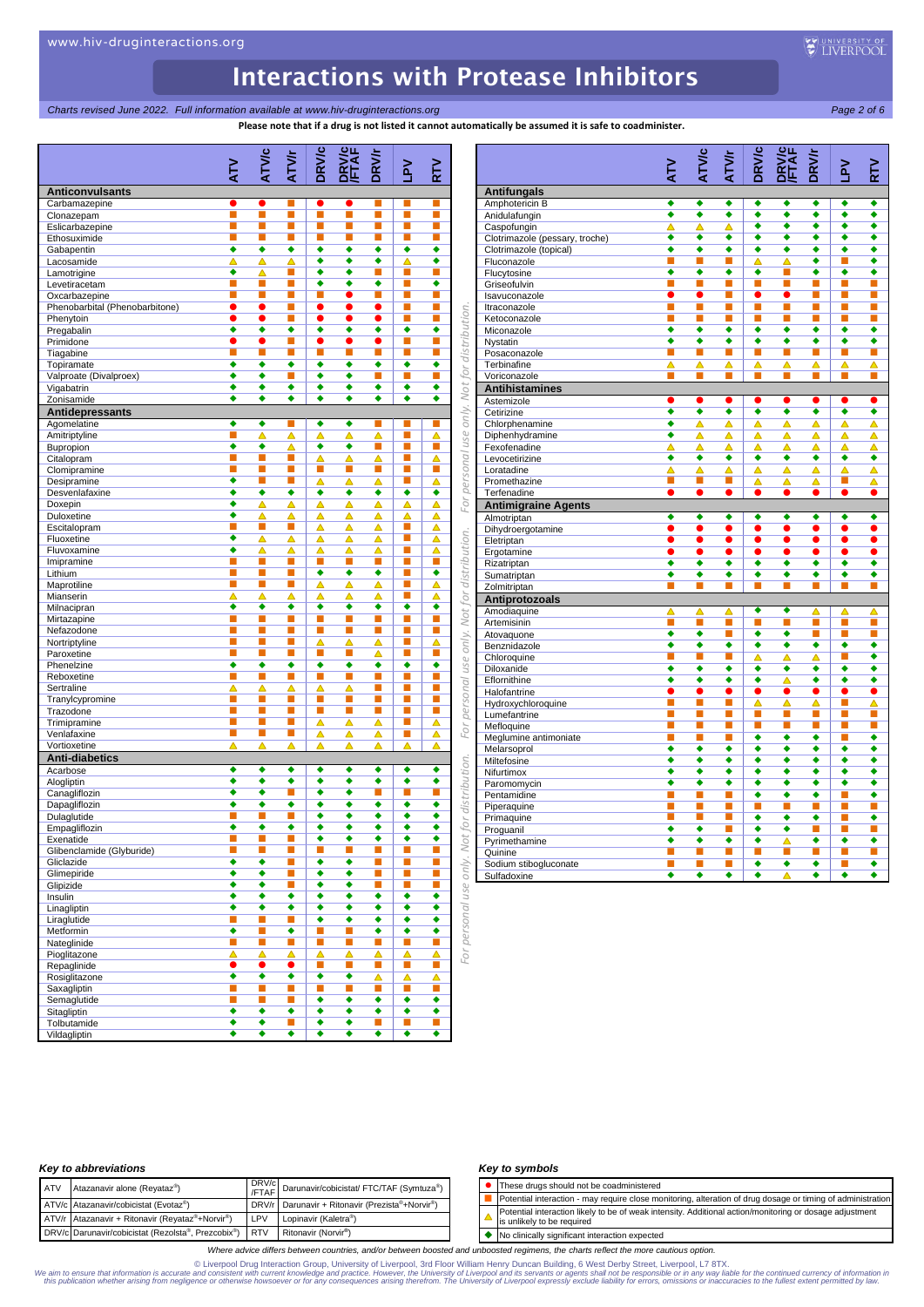**Charts revised June 2022. Full information available at www.hiv-druginteractions.org Page 2 of 6** Page 2 of 6

**Please note that if a drug is not listed it cannot automatically be assumed it is safe to coadminister.**

|                                |                           |                     |                      |                           | ricase note that if a urug is not insteant cannot auto |                             |                           |                             |
|--------------------------------|---------------------------|---------------------|----------------------|---------------------------|--------------------------------------------------------|-----------------------------|---------------------------|-----------------------------|
|                                |                           | <b>ATVIC</b>        |                      | <b>DRV/c</b>              | <b>DENVIC</b><br><b><i>FETAF</i></b>                   |                             |                           |                             |
|                                | $\geq$                    |                     | ATVr                 |                           |                                                        | <b>DRV/r</b>                | ĀΠ                        | RTV                         |
| <b>Anticonvulsants</b>         |                           |                     |                      |                           |                                                        |                             |                           |                             |
| Carbamazepine<br>Clonazepam    | $\bullet$<br>П            | $\bullet$<br>П      | П<br>n               | $\bullet$<br>П            | $\bullet$<br>П                                         | п                           | п<br>п                    | п<br>п                      |
| Eslicarbazepine                | П                         | п                   | П                    | П                         | п                                                      | п                           | п                         | п                           |
| Ethosuximide                   | П                         | п                   | п                    | П                         | П                                                      | п                           | П                         | п                           |
| Gabapentin                     | ٠                         | ٠                   | ٠                    | ٠                         | ٠                                                      | ٠                           | ٠                         | ٠                           |
| Lacosamide                     | Δ                         | Δ                   | Δ                    | ٠<br>٠                    | $\overline{\bullet}$<br>٠                              | $\overline{\bullet}$        | Δ                         | ٠                           |
| Lamotrigine<br>Levetiracetam   | ٠<br>П                    | ▵<br>П              | п<br>П               | ٠                         | ٠                                                      | п<br>٠                      | п<br>П                    | п<br>٠                      |
| Oxcarbazepine                  | п                         | П                   | П                    | П                         | $\bullet$                                              | п                           | п                         | П                           |
| Phenobarbital (Phenobarbitone) | $\bullet$                 | $\bullet$           | П                    | $\bullet$                 | $\bullet$                                              | $\bullet$                   | П                         | п                           |
| Phenytoin                      | $\bullet$                 | $\bullet$           | П                    | $\bullet$                 | $\bullet$                                              | $\bullet$                   | П                         | п                           |
| Pregabalin<br>Primidone        | ٠<br>$\bullet$            | ٠<br>$\bullet$      | ٠                    | ٠<br>$\bullet$            | ٠<br>$\bullet$                                         | ٠<br>0                      | ٠<br>Ξ                    | ٠<br>П                      |
| Tiagabine                      | П                         | п                   | П                    | П                         | П                                                      | п                           | ù                         | п                           |
| Topiramate                     | ٠                         | ٠                   | ٠                    | ٠                         | ٠                                                      | ٠                           | ٠                         | ٠                           |
| Valproate (Divalproex)         | ٠                         | ٠                   | П                    | ٠                         | ٠                                                      | п                           | п                         | п                           |
| Vigabatrin                     | ٠<br>٠                    | ٠<br>٠              | ٠<br>٠               | ٠<br>٠                    | ٠<br>٠                                                 | ٠<br>٠                      | ٠<br>٠                    | ٠<br>٠                      |
| Zonisamide<br>Antidepressants  |                           |                     |                      |                           |                                                        |                             |                           |                             |
| Agomelatine                    | ٠                         | ٠                   | П                    | ٠                         | ٠                                                      | п                           | п                         | п                           |
| Amitriptyline                  | П                         | △                   | Δ                    | Δ                         | Δ                                                      | ▵                           | г                         | Δ                           |
| Bupropion                      | ٠                         | ٠                   | Δ                    | ٠                         | ٠                                                      | п                           | П                         | п                           |
| Citalopram                     | ■                         | п                   | П                    | ▵                         | ▵                                                      | Δ                           | п                         | Δ                           |
| Clomipramine<br>Desipramine    | п<br>$\overline{\bullet}$ | п                   | П                    | П<br>Δ                    | П<br>▵                                                 | П<br>Δ                      | п                         | П<br>Δ                      |
| Desvenlafaxine                 | ٠                         | ٠                   | ٠                    | ٠                         | ٠                                                      | ٠                           | ٠                         | ٠                           |
| Doxepin                        | ٠                         | ▵                   | ▵                    | ▵                         | Δ                                                      | Δ                           | Δ                         | Δ                           |
| Duloxetine                     | ٠                         | Δ                   | Δ                    | Δ                         | Δ                                                      | Δ                           | Δ                         | Δ                           |
| Escitalopram                   | П                         | <b>C</b>            | П                    | Δ                         | Δ                                                      | Δ                           | Π                         | Δ                           |
| Fluoxetine<br>Fluvoxamine      | ٠<br>٠                    | Δ<br>Δ              | Ä<br>Δ               | Δ<br>Δ                    | Δ<br>Δ                                                 | Δ<br>Δ                      | п<br>í                    | Δ<br>Δ                      |
| Imipramine                     | п                         | п                   | П                    | П                         | п                                                      | п                           | п                         | п                           |
| Lithium                        | П                         | П                   | П                    | $\overline{\bullet}$      | ◆                                                      | ٠                           | П                         | ٠                           |
| Maprotiline                    | П                         | П                   | П                    | Δ                         | Δ                                                      | Δ                           | п                         | Δ                           |
| Mianserin                      | Δ                         | △                   | Δ                    | △                         | Δ                                                      | Δ                           | П                         | Δ                           |
| Milnacipran<br>Mirtazapine     | ٠<br>П                    | ٠<br>П              | ٠<br>П               | ٠<br>П                    | ٠<br>П                                                 | ٠<br>п                      | ٠<br>П                    | ٠<br>П                      |
| Nefazodone                     | П                         | П                   | П                    | Ĺ                         | <b>C</b>                                               | $\mathbb{R}^n$              | П                         | D.                          |
| Nortriptyline                  | П                         | п                   | П                    | Δ                         | Δ                                                      | Δ                           | П                         | Δ                           |
| Paroxetine                     | П                         | П                   | П                    | U.                        | L.                                                     | Δ                           | П                         | D.                          |
| Phenelzine<br>Reboxetine       | ٠<br>Ξ                    | ٠<br><b>C</b>       | ٠<br>П               | ٠<br>L.                   | ٠<br>D.                                                | ٠<br>П                      | ٠<br>E                    | ٠<br>П                      |
| Sertraline                     | ▵                         | Δ                   | Δ                    | Δ                         | Δ                                                      | п                           | п                         | i.                          |
| Tranylcypromine                | П                         | П                   | П                    | E                         | L.                                                     | п                           | п                         | п                           |
| Trazodone                      | п                         | ш                   | П                    | П                         | п                                                      | п                           | п                         | п                           |
| Trimipramine                   | П<br>П                    | П<br>П              | П<br>П               | Δ                         | Δ                                                      | Δ                           | П                         | Δ                           |
| Venlafaxine<br>Vortioxetine    | Δ                         | Δ                   | Δ                    | Δ<br>Δ                    | Δ<br>Δ                                                 | Δ<br>Δ                      | п<br>Δ                    | Δ<br>Δ                      |
| <b>Anti-diabetics</b>          |                           |                     |                      |                           |                                                        |                             |                           |                             |
| Acarbose                       | ٠                         | ٠                   | ٠                    | ٠                         | ٠                                                      | ٠                           | ٠                         | ٠                           |
| Alogliptin                     | ٠                         | ٠                   | ٠                    | ٠                         | ٠                                                      | ٠                           | ٠                         | ٠                           |
| Canagliflozin                  | ٠                         | ٠                   | П                    | ٠<br>$\overline{\bullet}$ | ٠<br>$\overline{\bullet}$                              | L.                          | L.                        | П                           |
| Dapagliflozin<br>Dulaglutide   | ٠                         | ٠                   | $\overline{\bullet}$ | ٠                         | ٠                                                      | ٠<br>٠                      | $\overline{\bullet}$<br>٠ | ◆<br>٠                      |
| Empagliflozin                  | ٠                         |                     |                      |                           |                                                        |                             | ٠                         |                             |
| Exenatide                      | $\mathbb{Z}$              | п                   | П                    | ٠                         | ٠                                                      | ٠                           | $\overline{\bullet}$      | ٠                           |
| Glibenclamide (Glyburide)      | п                         | п                   | П                    | П                         | п                                                      | п                           | п                         | п                           |
| Gliclazide                     | ٠<br>٠                    | ٠<br>٠              | $\blacksquare$<br>п  | ٠<br>٠                    | ٠<br>٠                                                 | П<br>п                      | П<br>п                    | П<br>п                      |
| Glimepiride<br>Glipizide       | ٠                         | ٠                   | п                    | ٠                         | ٠                                                      | Ē                           | п                         | π                           |
| Insulin                        | ٠                         | ٠                   | ٠                    | ٠                         | ٠                                                      | ٠                           | ٠                         | ٠                           |
| Linagliptin                    | ٠                         | ٠                   | ٠                    | ٠                         | ٠                                                      | ٠                           | ٠                         | ٠                           |
| Liraglutide                    | П                         | П                   | П                    | ٠                         | ٠                                                      | ٠                           | ٠                         | ٠                           |
| Metformin                      | ٠<br>$\Box$               | $\mathbb{Z}^2$<br>п | ٠<br>u,              | T.<br>E                   | П<br>п                                                 | ٠<br>×                      | ٠<br>П                    | ٠<br>п                      |
| Nateglinide<br>Pioglitazone    | Δ                         | Δ                   | Δ                    | Δ                         | Δ                                                      | Δ                           | Δ                         | Δ                           |
| Repaglinide                    | $\bullet$                 | $\bullet$           | $\bullet$            | U.                        | $\blacksquare$                                         | $\mathcal{L}_{\mathcal{A}}$ | $\blacksquare$            | $\mathcal{L}_{\mathcal{A}}$ |
| Rosiglitazone                  | ٠                         | ٠                   | ٠                    | ٠                         | ٠                                                      | Δ                           | Δ                         | Δ                           |
| Saxagliptin                    | $\mathbb{R}^n$            | $\mathbb{R}^n$      | П                    | E                         | $\blacksquare$                                         | ú                           | Ξ                         | L.                          |
| Semaglutide<br>Sitagliptin     | п<br>٠                    | п<br>٠              | П<br>٠               | ٠<br>٠                    | ٠<br>٠                                                 | ٠<br>٠                      | ٠<br>٠                    | ٠<br>٠                      |
| Tolbutamide                    | ٠                         | ٠                   | П                    | ٠                         | ٠                                                      | $\blacksquare$              | $\blacksquare$            | $\blacksquare$              |
| Vildagliptin                   | ٠                         | ٠                   | ٠                    | ٠                         | ٠                                                      | ٠                           | ٠                         | ٠                           |

|                                     |                      | ATVIC                | <b>ATV/r</b>         | <b>DRV/c</b>         | <b>DRV/C</b><br>FTAF | <b>DRV/r</b>         |                           |                                  |
|-------------------------------------|----------------------|----------------------|----------------------|----------------------|----------------------|----------------------|---------------------------|----------------------------------|
|                                     | ΚL                   |                      |                      |                      |                      |                      | $\mathsf{S}^{\mathsf{S}}$ | R٣                               |
| <b>Antifungals</b>                  |                      |                      |                      |                      |                      |                      |                           |                                  |
| Amphotericin B                      | ٠                    | ٠                    | ٠                    | ٠                    | ٠                    | ٠                    | ٠                         | ٠                                |
| Anidulafungin                       | ◆                    | ∙                    | ∙                    | ◆                    | ∙                    | ◆                    | ∙                         | ∙                                |
| Caspofungin                         | Δ                    | Δ                    | Δ                    | ٠                    | ۵                    | ٠                    | ٠                         | ∙                                |
| Clotrimazole (pessary, troche)      | ٠                    | ٠                    | ٠                    | ٠                    | ٠                    | ٠                    | ٠                         | ٠                                |
| Clotrimazole (topical)              | $\overline{\bullet}$ | $\overline{\bullet}$ | $\overline{\bullet}$ | $\overline{\bullet}$ | $\overline{\bullet}$ | $\overline{\bullet}$ | $\overline{\bullet}$      | $\overline{\bullet}$             |
| Fluconazole                         | П                    | п                    | П                    | Δ                    | $\overline{\wedge}$  | ∙                    | П                         | ٠                                |
| Flucytosine                         | ◆                    | ◆                    | ◆                    | ٠                    | П                    | ∙                    | ٠                         | ◆                                |
| Griseofulvin                        | п                    | п                    | п<br>п               | П                    | п                    | п                    | П<br>п                    | ■                                |
| Isavuconazole                       | $\bullet$<br>П       | $\bullet$<br>П       | п                    | $\bullet$<br>П       | $\bullet$<br>п       | п<br>П               | ū                         | П<br>п                           |
| Itraconazole<br>Ketoconazole        |                      |                      | п                    | п                    |                      |                      | П                         |                                  |
| Miconazole                          | ٠                    | ٠                    | ٠                    | ٠                    | ٠                    | ٠                    | ٠                         | ٠                                |
| Nystatin                            | $\overline{\bullet}$ | $\overline{\bullet}$ | $\overline{\bullet}$ | $\overline{\bullet}$ | $\overline{\bullet}$ | $\overline{\bullet}$ | $\overline{\bullet}$      | $\overline{\bullet}$             |
| Posaconazole                        | п                    | ■                    | п                    | П                    |                      | п                    | п                         | ■                                |
| Terbinafine                         | Δ                    | Δ                    | Δ                    | Δ                    | Δ                    | Δ                    | Δ                         | Δ                                |
| Voriconazole                        |                      | ٦                    | п                    | п                    | п                    | п                    | П                         | ٦                                |
| <b>Antihistamines</b>               |                      |                      |                      |                      |                      |                      |                           |                                  |
| Astemizole                          |                      | $\bullet$            | $\bullet$            |                      | $\bullet$            |                      |                           | ▲                                |
| Cetirizine                          | ٠                    | ٠                    | ٠                    | ٠                    | ٠                    | ٠                    | ٠                         | ٠                                |
| Chlorphenamine                      | ٠                    | Δ                    | Δ                    | △                    | Δ                    | ▵                    | Δ                         | Δ                                |
| Diphenhydramine                     | $\overline{\bullet}$ | Δ                    | Δ                    | Δ                    | Δ                    | Δ                    | Δ                         | Δ                                |
| Fexofenadine                        | Δ                    | Δ                    | Δ                    | Δ                    | Δ                    | Δ                    | Δ                         | Δ                                |
| Levocetirizine                      | ٠                    | ٠                    | ٠                    | ٠                    | ٠                    | ٠                    | ٠                         | ٠                                |
| Loratadine                          | Δ                    | Δ                    | Δ                    | Δ                    | Δ                    | Δ                    | Δ                         | Δ                                |
| Promethazine                        | П                    | П                    | П                    | Δ                    | Δ                    | Δ                    | П                         | Δ                                |
| Terfenadine                         |                      |                      |                      |                      |                      | $\bullet$            |                           | $\bullet$                        |
| <b>Antimigraine Agents</b>          |                      |                      |                      |                      |                      |                      |                           |                                  |
| Almotriptan                         | ٠                    | ٠                    | ٠                    | ٠                    | ٠                    | ٠                    | ٠                         | ٠                                |
| Dihydroergotamine                   | $\overline{\bullet}$ | $\bullet$            | $\overline{\bullet}$ | $\overline{\bullet}$ | $\bullet$            | ō                    | $\bullet$                 | $\overline{\bullet}$             |
| Eletriptan                          | $\overline{\bullet}$ | $\bullet$            | $\overline{\bullet}$ |                      | $\bullet$            | ō                    | $\bullet$                 | ō                                |
| Ergotamine                          |                      |                      |                      |                      |                      |                      |                           |                                  |
| Rizatriptan                         | ٠                    | ٠                    | ٠                    | ٠                    | ٠                    | ٠                    | ٠                         | ٠                                |
| Sumatriptan                         | $\overline{\bullet}$ |                      |                      | ∙                    | 3                    | 3                    | ∙                         | $\overline{\bullet}$             |
| Zolmitriptan                        |                      |                      |                      |                      |                      |                      |                           |                                  |
| Antiprotozoals                      |                      |                      |                      |                      |                      |                      |                           |                                  |
| Amodiaquine                         | Δ                    | Δ                    | Δ                    | ٠                    | ٠                    | Δ                    | Δ                         | Δ                                |
| Artemisinin                         | П                    | П                    | П                    | П                    | г                    | П                    | П                         | П                                |
| Atovaquone                          | ٠                    | ٠                    | п                    | ٠                    | ٠                    | п                    | П                         | п                                |
| Benznidazole                        | ٠                    | ٠                    | ٠                    | ٠                    | ٠                    | ٠                    | ٠                         | ٠                                |
| Chloroquine                         | П                    | п                    | П                    | Δ                    | △                    | Δ                    | П                         | ٠                                |
| Diloxanide                          | $\overline{\bullet}$ | $\overline{\bullet}$ | ∙                    | ٠                    | ٠                    | ∙                    | $\overline{\bullet}$      | ◆                                |
| Eflornithine                        | ٠                    | ٠                    | $\overline{\bullet}$ | ٠                    | Δ                    | ٠                    | ٠                         | ٠                                |
| Halofantrine                        | $\bullet$<br>п       | п                    | п                    | ●<br>Δ               | $\bullet$<br>Δ       | ●<br>Δ               | П                         | $\bullet$<br>$\overline{\Delta}$ |
| Hydroxychloroquine                  | П                    | П                    | П                    | П                    | П                    | П                    | П                         | П                                |
| Lumefantrine                        | ш                    |                      | П                    | ■                    |                      | ш                    | П                         | e i                              |
| Mefloquine<br>Meglumine antimoniate | п                    | ш                    | п                    | ٠                    | ٠                    | ٠                    | п                         | ٠                                |
| Melarsoprol                         | ٠                    | ٠                    | ◆                    | ٠                    | ٠                    | ٠                    | ٠                         | $\overline{\bullet}$             |
| Miltefosine                         | $\overline{\bullet}$ | ∙                    | $\overline{\bullet}$ | ∙                    | ◆                    | ◆                    | $\overline{\bullet}$      | $\overline{\bullet}$             |
| Nifurtimox                          | ٠                    | ٠                    | ٠                    | ٠                    | ٠                    | ٠                    | ٠                         | ٠                                |
| Paromomycin                         | ◆                    | ◆                    | ◆                    | ٠                    | ٠                    | ٠                    | ٠                         | ◆                                |
| Pentamidine                         |                      |                      |                      | ٠                    | ٠                    | ٠                    | П                         | ٠                                |
| Piperaquine                         | п                    | п                    | п                    | п                    | п                    | П                    | П                         | П                                |
| Primaquine                          | п                    | п                    | П                    | ٠                    | ٠                    | ∙                    | n                         | ◆                                |
| Proguanil                           | $\overline{\bullet}$ | $\overline{\bullet}$ | ū                    | ٠                    | ∙                    | п                    | П                         | Π                                |
| Pyrimethamine                       | ٠                    | ٠                    | ٠                    | ٠                    | △                    | ٠                    | ٠                         | ٠                                |
| Quinine                             | п                    | п                    | п                    | m.                   | п                    | п                    | П                         | ٠                                |
| Sodium stibogluconate               |                      |                      | п                    | ٠                    | ٠                    | ٠                    | П                         | ٠                                |
| Sulfadoxine                         | ٠                    | ٠                    | ٠                    | ٠                    | Δ                    | ٠                    | ٠                         | ◆                                |

### *Key to abbreviations*

| <b>ATV</b> | Atazanavir alone (Reyataz®)                            |     | DRV/c<br>/FTAF Darunavir/cobicistat/ FTC/TAF (Symtuza <sup>®</sup> ) |
|------------|--------------------------------------------------------|-----|----------------------------------------------------------------------|
|            | ATV/c Atazanavir/cobicistat (Evotaz®)                  |     | DRV/r Darunavir + Ritonavir (Prezista®+Norvir®)                      |
|            | ATV/r Atazanavir + Ritonavir (Reyataz®+Norvir®)        | LPV | Lopinavir (Kaletra <sup>®</sup> )                                    |
|            | DRV/c Darunavir/cobicistat (Rezolsta®, Prezcobix®) RTV |     | Ritonavir (Norvir <sup>®</sup> )                                     |

### *Key to symbols*

- ⚫ These drugs should not be coadministered
- Potential interaction may require close monitoring, alteration of drug dosage or timing of administration
- Potential interaction likely to be of weak intensity. Additional action/monitoring or dosage adjustment  $\Delta$ is unlikely to be required
- ◆ No clinically significant interaction expected

*Where advice differs between countries, and/or between boosted and unboosted regimens, the charts reflect the more cautious option.*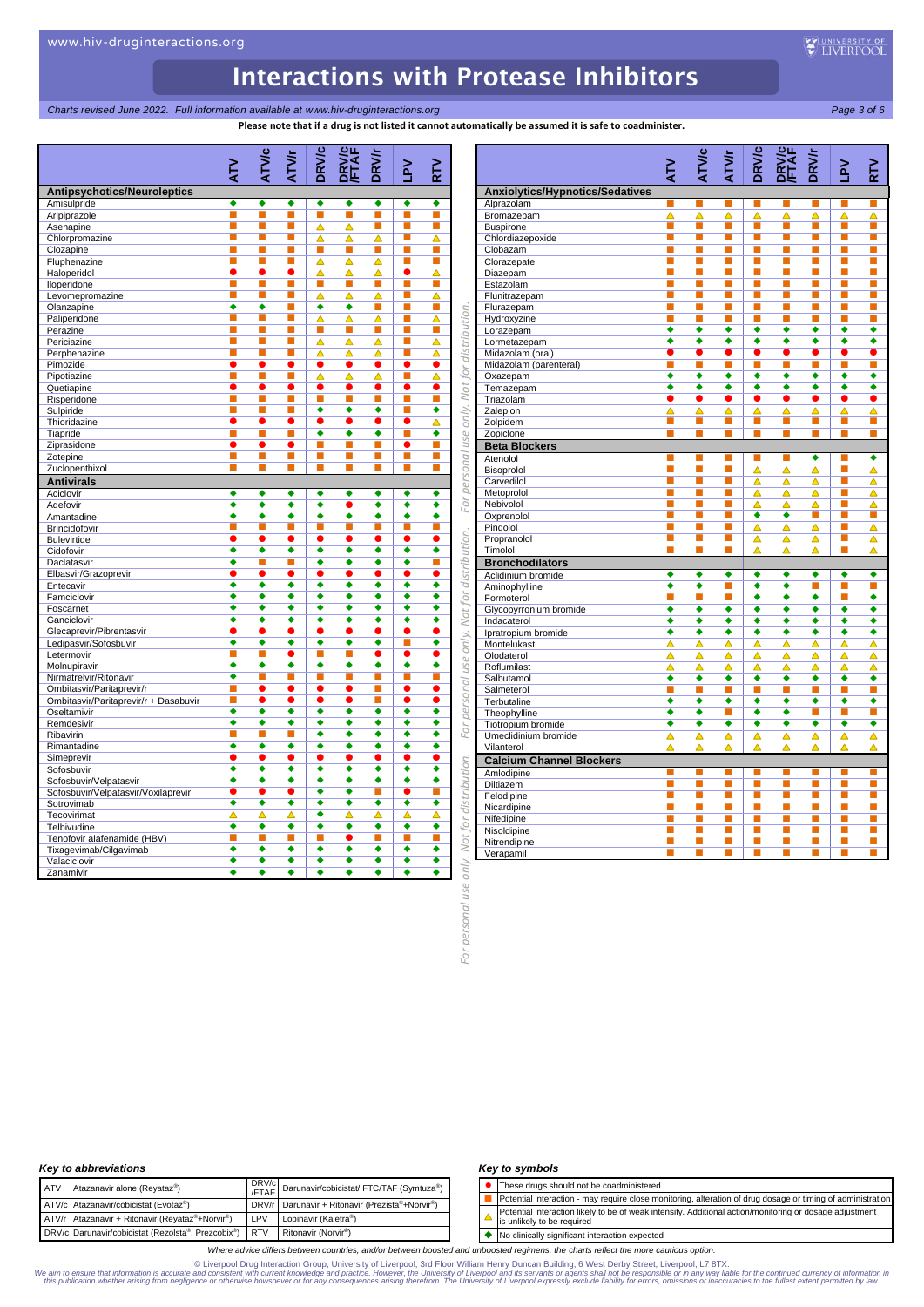## *Charts revised June 2022. Full information available at www.hiv-druginteractions.org Page 3 of 6*

**Please note that if a drug is not listed it cannot automatically be assumed it is safe to coadminister.**

|                                       | ΚL             | <b>ATV/c</b> | ATVr           | <b>DRV/c</b>   | <b>DRWC</b><br>FTAF | <b>DRV/r</b> | <b>Nd</b>            | RTV            |                        |                                       | <b>NTV</b>            |
|---------------------------------------|----------------|--------------|----------------|----------------|---------------------|--------------|----------------------|----------------|------------------------|---------------------------------------|-----------------------|
| <b>Antipsychotics/Neuroleptics</b>    |                |              |                |                |                     |              |                      |                |                        | Anxiolytics/Hypnotics/Sedatives       |                       |
| Amisulpride                           | ٠              | ٠            | ٠              | ٠              | ٠                   | ٠            | ٠                    | ٠              |                        | Alprazolam                            | ш                     |
| Aripiprazole                          | П              | п            | П              | П              | П                   | ٦            | П                    | п              |                        | Bromazepam                            | Δ                     |
| Asenapine                             | ■              | ■            | ■              | Δ              | Δ                   | Ξ            | ■                    | п              |                        | <b>Buspirone</b>                      | U.                    |
| Chlorpromazine                        | п              | п            | П              | Δ              | Δ                   | Δ            | п                    | Δ              |                        | Chlordiazepoxide                      | п                     |
| Clozapine                             | П              | п            | П              | П              | п                   | Ξ            | ■                    | п              |                        | Clobazam                              |                       |
| Fluphenazine                          | П              | п            | П              | Δ              | Δ                   | Δ            | П                    | п              |                        | Clorazepate                           | П                     |
| Haloperidol                           | $\bullet$      | $\bullet$    | $\bullet$      | Δ              | Δ                   | Δ            | $\bullet$            | Δ              |                        | Diazepam                              | П                     |
| Iloperidone                           | п              | п            | П              | П              | п                   | п            | п                    | п              |                        | Estazolam                             | П                     |
| Levomepromazine                       | o,             | <b>C</b>     | П              | Δ              | Δ                   | Δ            | ш                    | Δ              |                        | Flunitrazepam                         | П                     |
| Olanzapine                            | ٠              | ٠            | ш              | ٠              | ٠                   | п            | п                    | п              |                        | Flurazepam                            | п                     |
| Paliperidone                          | п              | г            | П              | Δ              | Δ                   | Δ            | п                    | Δ              | distribution.          | Hydroxyzine                           | П                     |
| Perazine                              | п<br>п         | п<br>П       | ш<br>П         | П              | п                   | п            | п<br>П               | п              |                        | Lorazepam                             | ٠<br>٠                |
| Periciazine                           | п              | П            | п              | Δ<br>Δ         | Δ<br>Δ              | ▵<br>Δ       | $\mathbb{R}^n$       | Δ<br>Δ         |                        | Lormetazepam<br>Midazolam (oral)      | $\bullet$             |
| Perphenazine<br>Pimozide              | $\bullet$      | $\bullet$    | $\bullet$      | $\bullet$      | $\bullet$           | $\bullet$    | $\bullet$            | $\bullet$      |                        | Midazolam (parenteral)                | П                     |
| Pipotiazine                           | п              | П            | П              | △              | Δ                   | ▵            | п                    | ᅀ              | for                    | Oxazepam                              | ٠                     |
| Quetiapine                            | $\bullet$      | $\bullet$    | $\bullet$      | $\bullet$      | $\bullet$           | ●            | $\bullet$            | $\bullet$      | Not <sub>1</sub>       | Temazepam                             | ٠                     |
| Risperidone                           | П              | П            | П              | П              | п                   | П            | $\mathbb{R}^n$       | п              |                        | Triazolam                             |                       |
| Sulpiride                             | п              | П            | п              | ٠              | ٠                   | ٠            | п                    | ٠              |                        | Zaleplon                              | Δ                     |
| Thioridazine                          | $\bullet$      | $\bullet$    | $\bullet$      | $\bullet$      | $\bullet$           | 0            | $\bullet$            | Δ              | only.                  | Zolpidem                              | U.                    |
| Tiapride                              | п              | П            | п              | ٠              | ٠                   | ٠            | п                    | ٠              |                        | Zopiclone                             | п                     |
| Ziprasidone                           | $\bullet$      | $\bullet$    |                | П              | п                   | П            | $\bullet$            | Ξ              | use                    | <b>Beta Blockers</b>                  |                       |
| Zotepine                              | п              | П            | П              | П              | п                   | п            | п                    | п              | personal               | Atenolol                              |                       |
| Zuclopenthixol                        | П              | п            | П              | П              |                     |              | п                    | П              |                        | Bisoprolol                            | п                     |
| <b>Antivirals</b>                     |                |              |                |                |                     |              |                      |                |                        | Carvedilol                            | П                     |
| Aciclovir                             | ٠              | ٠            | ٠              | ٠              | ٠                   | ٠            | ٠                    | ٠              |                        | Metoprolol                            | П                     |
| Adefovir                              | ٠              | ٠            | ٠              | ٠              | 0                   | ٠            | ٠                    | ٠              | For                    | Nebivolol                             | П                     |
| Amantadine                            | ٠              | ٠            | ٠              | ٠              | ٠                   | ٠            | ٠                    | ٠              |                        | Oxprenolol                            | П                     |
| Brincidofovir                         | П              | г            | П              | П              | п                   | П            | П                    | П              |                        | Pindolol                              | П                     |
| <b>Bulevirtide</b>                    | $\bullet$      | $\bullet$    | $\bullet$      | $\bullet$      | $\bullet$           | $\bullet$    | $\bullet$            | $\bullet$      |                        | Propranolol                           | п                     |
| Cidofovir                             | ٠              | ٠            | ٠              | ٠              | ٠                   | ٠            | ٠                    | ٠              | distribution.          | Timolol                               | П                     |
| Daclatasvir                           | ٠              | п            | П              | ٠              | ٠                   | ٠            | ٠                    | п              |                        | <b>Bronchodilators</b>                |                       |
| Elbasvir/Grazoprevir                  | O<br>٠         | C<br>٠       | $\bullet$<br>٠ | 0<br>٠         | ●<br>٠              | 0<br>٠       | $\bullet$<br>٠       | $\bullet$<br>٠ |                        | Aclidinium bromide                    | ٠                     |
| Entecavir<br>Famciclovir              | ٠              | ٠            | ٠              | ٠              | ٠                   | ٠            | ٠                    | ٠              | for                    | Aminophylline                         | ٠                     |
| Foscarnet                             | ٠              | ٠            | ٠              | ٠              | ٠                   | ٠            | ٠                    | ٠              |                        | Formoterol                            | ٠                     |
| Ganciclovir                           | ٠              | ٠            | ٠              | ٠              | ٠                   | ٠            | ٠                    | ٠              | Not                    | Glycopyrronium bromide<br>Indacaterol | ٠                     |
| Glecaprevir/Pibrentasvir              | e              | 0            | 0              | $\bullet$      | $\bullet$           | 0            | $\bullet$            | 0              |                        | Ipratropium bromide                   | ٠                     |
| Ledipasvir/Sofosbuvir                 | ٠              | ٠            | ٠              | ٠              | ٠                   | ٠            | п                    | ٠              | only.                  | Montelukast                           | Δ                     |
| Letermovir                            | п              | П            | ۰              | П              | п                   | O            | $\bullet$            |                |                        | Olodaterol                            | Δ                     |
| Molnupiravir                          | ٠              | ٠            | ٠              | ٠              | ٠                   | ٠            | $\overline{\bullet}$ | ٠              | use                    | Roflumilast                           | Δ                     |
| Nirmatrelvir/Ritonavir                | ٠              | п            | ■              | п              | г                   | П            | п                    | п              |                        | Salbutamol                            | ٠                     |
| Ombitasvir/Paritaprevir/r             | П              | $\bullet$    | $\bullet$      | $\bullet$      | $\bullet$           | п            | $\bullet$            | $\bullet$      |                        | Salmeterol                            | П                     |
| Ombitasvir/Paritaprevir/r + Dasabuvir | П              | 0            |                | $\bullet$      | $\bullet$           |              | $\bullet$            | 0              | personal               | Terbutaline                           | ٠                     |
| Oseltamivir                           | ٠              | ٠            | ٠              | ٠              | ٠                   | ٠            | ٠                    | ٠              |                        | Theophylline                          | $\overline{\bullet}$  |
| Remdesivir                            | ٠              | ٠            | ٠              | ٠              | ٠                   | ٠            | ٠                    | ٠              | For                    | Tiotropium bromide                    | ٠                     |
| Ribavirin                             | П              | п            | П              | ٠              | ٠                   | ٠            | ٠                    | ٠              |                        | Umeclidinium bromide                  | Δ                     |
| Rimantadine                           | ٠              | ٠            | ٠              | ٠              | ٠                   | ٠            | ٠                    | ٠              |                        | Vilanterol                            | Δ                     |
| Simeprevir                            | $\bullet$<br>٠ | 0<br>٠       | 0<br>٠         | $\bullet$<br>٠ | $\bullet$<br>٠      | 0<br>٠       | $\bullet$<br>٠       | $\bullet$<br>٠ | distribution.          | <b>Calcium Channel Blockers</b>       |                       |
| Sofosbuvir<br>Sofosbuvir/Velpatasvir  | ٠              | ٠            | ٠              | ٠              | ٠                   | ٠            | ٠                    | ٠              |                        | Amlodipine                            | П                     |
| Sofosbuvir/Velpatasvir/Voxilaprevir   |                |              | $\bullet$      | ٠              | ٠                   | П            | $\bullet$            | п              |                        | <b>Diltiazem</b>                      | П                     |
| Sotrovimab                            | ٠              | ٠            | ٠              | ٠              | ٠                   | ◆            | ٠                    | ٠              |                        | Felodipine                            | m.                    |
| Tecovirimat                           | Δ              | Δ            | Δ              | ٠              | Δ                   | Δ            | Δ                    | Δ              |                        | Nicardipine                           | п<br>П                |
| Telbivudine                           | ٠              | ٠            | ٠              | ٠              | ٠                   | ٠            | ٠                    | ٠              | òr                     | Nifedipine                            |                       |
| Tenofovir alafenamide (HBV)           | П              | п            | П              | П              | $\bullet$           | П            | п                    | D.             |                        | Nisoldipine<br>Nitrendipine           | . .<br>$\blacksquare$ |
| Tixagevimab/Cilgavimab                | ٠              | ٠            | ٠              | ٠              | ٠                   | ٠            | ٠                    | ٠              | Not                    | Verapamil                             | Т.                    |
| Valaciclovir                          | ٠              | ٠            | ٠              | ٠              | ٠                   | ٠            | ٠                    | ٠              |                        |                                       |                       |
| Zanamivir                             | ٠              | ٠            | ٠              | ٠              | ٠                   | ٠            | ٠                    | ٠              | For personal use only. |                                       |                       |
|                                       |                |              |                |                |                     |              |                      |                |                        |                                       |                       |

|                                        | ≧<br>∢                                                                                                                                                                                                                                                                                                                                                                                                                                                                                                                                                                                                                                                                                                             | ATVIC                | ATV/r                | <b>DRV/c</b>         | <b>DRV/C</b><br>/FTAF | <b>DRV/r</b>         | $\mathsf{Z}$         | ے<br>E               |
|----------------------------------------|--------------------------------------------------------------------------------------------------------------------------------------------------------------------------------------------------------------------------------------------------------------------------------------------------------------------------------------------------------------------------------------------------------------------------------------------------------------------------------------------------------------------------------------------------------------------------------------------------------------------------------------------------------------------------------------------------------------------|----------------------|----------------------|----------------------|-----------------------|----------------------|----------------------|----------------------|
| <b>Anxiolytics/Hypnotics/Sedatives</b> |                                                                                                                                                                                                                                                                                                                                                                                                                                                                                                                                                                                                                                                                                                                    |                      |                      |                      |                       |                      |                      |                      |
| Alprazolam                             | П                                                                                                                                                                                                                                                                                                                                                                                                                                                                                                                                                                                                                                                                                                                  | П                    | П                    | п                    | ▬                     | П                    | п                    | п                    |
| Bromazepam                             | Δ                                                                                                                                                                                                                                                                                                                                                                                                                                                                                                                                                                                                                                                                                                                  | Δ                    | Δ                    | Δ                    | Δ                     | Δ                    | Δ                    | Δ                    |
| <b>Buspirone</b>                       | П                                                                                                                                                                                                                                                                                                                                                                                                                                                                                                                                                                                                                                                                                                                  | П                    | П                    | п                    | п                     | П                    | п                    | П                    |
| Chlordiazepoxide                       | П                                                                                                                                                                                                                                                                                                                                                                                                                                                                                                                                                                                                                                                                                                                  | П                    | П                    | П                    |                       | П                    | ú                    | П                    |
| Clobazam                               | П                                                                                                                                                                                                                                                                                                                                                                                                                                                                                                                                                                                                                                                                                                                  | П                    | П                    | П                    |                       | П                    | п                    | П                    |
| Clorazepate                            | П                                                                                                                                                                                                                                                                                                                                                                                                                                                                                                                                                                                                                                                                                                                  | П                    | ū                    | П                    | п                     | П                    | П                    | П                    |
| Diazepam                               | П                                                                                                                                                                                                                                                                                                                                                                                                                                                                                                                                                                                                                                                                                                                  | П                    | П                    | П                    |                       | п                    | п                    | п                    |
| Estazolam                              |                                                                                                                                                                                                                                                                                                                                                                                                                                                                                                                                                                                                                                                                                                                    | П                    | П                    |                      | п                     |                      | п                    |                      |
| Flunitrazepam                          | П                                                                                                                                                                                                                                                                                                                                                                                                                                                                                                                                                                                                                                                                                                                  | П                    |                      |                      | п                     |                      | п                    |                      |
| Flurazepam                             | П                                                                                                                                                                                                                                                                                                                                                                                                                                                                                                                                                                                                                                                                                                                  | П                    | П                    | П                    | п                     | П                    | П                    | П                    |
| Hydroxyzine                            | п                                                                                                                                                                                                                                                                                                                                                                                                                                                                                                                                                                                                                                                                                                                  |                      | П                    | п                    | п                     | п                    | п                    | п                    |
| Lorazepam                              | $\overline{\bullet}$                                                                                                                                                                                                                                                                                                                                                                                                                                                                                                                                                                                                                                                                                               | ٠                    | ◆                    | ◆                    | ∙                     | ∙                    | ◆                    | ∙                    |
| Lormetazepam                           | $\overline{\bullet}$                                                                                                                                                                                                                                                                                                                                                                                                                                                                                                                                                                                                                                                                                               | $\overline{\bullet}$ | $\overline{\bullet}$ | $\overline{\bullet}$ | $\overline{\bullet}$  | $\overline{\bullet}$ | $\overline{\bullet}$ | ٠                    |
| Midazolam (oral)                       | ū<br>п<br>п<br>п<br>ū<br>$\overline{\bullet}$<br>$\bullet$<br>$\bullet$<br>п<br>п<br>П<br>П<br>п<br>П<br>П<br>П<br>٠<br>٠<br>٠<br>٠<br>٠<br>٠<br>٠<br>٠<br>◆<br>$\overline{\bullet}$<br>$\overline{\bullet}$<br>$\overline{\bullet}$<br>$\overline{\bullet}$<br>$\overline{\bullet}$<br>$\overline{\bullet}$<br>$\overline{\bullet}$<br>$\bullet$<br>$\bullet$<br>$\bullet$<br>$\bullet$<br>$\bullet$<br>$\bullet$<br>$\bullet$<br>$\bullet$<br>Δ<br>Δ<br>Δ<br>Δ<br>Δ<br>Δ<br>Δ<br>Δ<br>П<br>П<br>П<br>П<br>п<br>п<br>п<br>п<br>п<br>п<br>п<br>п<br>ш<br>ш<br>п<br>п<br>٠<br>٠<br>п<br>П<br>П<br>П<br>Δ<br>Δ<br>Δ<br>П<br>Δ<br>П<br>П<br>П<br>$\overline{\tt\Delta}$<br>⊼<br>П<br>△<br>$\overline{\blacktriangle}$ |                      |                      |                      |                       |                      |                      |                      |
| Midazolam (parenteral)                 | П<br>П                                                                                                                                                                                                                                                                                                                                                                                                                                                                                                                                                                                                                                                                                                             |                      |                      |                      |                       |                      |                      |                      |
| Oxazepam                               | П<br>П<br>п<br>п<br>ū<br>Δ<br>È<br>Δ<br>Δ<br>▵<br>П<br>П<br>П<br>Δ<br>Δ<br>Δ<br>п<br>Δ<br>П<br>п<br>П<br>п<br>٠<br>П<br>П<br>٠                                                                                                                                                                                                                                                                                                                                                                                                                                                                                                                                                                                     |                      |                      |                      |                       |                      |                      |                      |
| Temazepam                              |                                                                                                                                                                                                                                                                                                                                                                                                                                                                                                                                                                                                                                                                                                                    |                      |                      |                      |                       |                      |                      |                      |
| Triazolam                              |                                                                                                                                                                                                                                                                                                                                                                                                                                                                                                                                                                                                                                                                                                                    |                      |                      |                      |                       |                      |                      |                      |
| Zaleplon                               |                                                                                                                                                                                                                                                                                                                                                                                                                                                                                                                                                                                                                                                                                                                    |                      |                      |                      |                       |                      |                      |                      |
| Zolpidem                               |                                                                                                                                                                                                                                                                                                                                                                                                                                                                                                                                                                                                                                                                                                                    |                      |                      |                      |                       |                      |                      |                      |
| Zopiclone                              | П<br>П<br>П<br>Δ<br>Δ<br>Δ<br>П<br>Δ                                                                                                                                                                                                                                                                                                                                                                                                                                                                                                                                                                                                                                                                               |                      |                      |                      |                       |                      |                      |                      |
| <b>Beta Blockers</b>                   |                                                                                                                                                                                                                                                                                                                                                                                                                                                                                                                                                                                                                                                                                                                    |                      |                      |                      |                       |                      |                      |                      |
| Atenolol                               |                                                                                                                                                                                                                                                                                                                                                                                                                                                                                                                                                                                                                                                                                                                    |                      |                      |                      |                       |                      |                      |                      |
| Bisoprolol                             |                                                                                                                                                                                                                                                                                                                                                                                                                                                                                                                                                                                                                                                                                                                    |                      |                      |                      |                       |                      |                      |                      |
| Carvedilol                             |                                                                                                                                                                                                                                                                                                                                                                                                                                                                                                                                                                                                                                                                                                                    |                      |                      |                      |                       |                      |                      |                      |
| Metoprolol                             |                                                                                                                                                                                                                                                                                                                                                                                                                                                                                                                                                                                                                                                                                                                    |                      |                      |                      |                       |                      |                      |                      |
| Nebivolol                              |                                                                                                                                                                                                                                                                                                                                                                                                                                                                                                                                                                                                                                                                                                                    |                      |                      |                      |                       |                      |                      |                      |
| Oxprenolol                             |                                                                                                                                                                                                                                                                                                                                                                                                                                                                                                                                                                                                                                                                                                                    |                      |                      |                      |                       |                      |                      |                      |
| Pindolol                               |                                                                                                                                                                                                                                                                                                                                                                                                                                                                                                                                                                                                                                                                                                                    |                      |                      |                      |                       |                      |                      |                      |
| Propranolol                            | п                                                                                                                                                                                                                                                                                                                                                                                                                                                                                                                                                                                                                                                                                                                  | П                    | п                    | Δ                    | Δ                     | Δ                    | П                    | Δ                    |
| Timolol                                | П                                                                                                                                                                                                                                                                                                                                                                                                                                                                                                                                                                                                                                                                                                                  | П                    | D                    | Δ                    | Δ                     | Δ                    |                      | Δ                    |
| <b>Bronchodilators</b>                 |                                                                                                                                                                                                                                                                                                                                                                                                                                                                                                                                                                                                                                                                                                                    |                      |                      |                      |                       |                      |                      |                      |
|                                        | ٠                                                                                                                                                                                                                                                                                                                                                                                                                                                                                                                                                                                                                                                                                                                  | ٠                    |                      |                      | ٠                     | ٠                    | ٠                    | ٠                    |
| Aclidinium bromide                     | ◆                                                                                                                                                                                                                                                                                                                                                                                                                                                                                                                                                                                                                                                                                                                  |                      | ٠<br>П               | ٠                    |                       | П                    | П                    | П                    |
| Aminophylline                          |                                                                                                                                                                                                                                                                                                                                                                                                                                                                                                                                                                                                                                                                                                                    | ٠                    |                      | ٠                    | ٠                     |                      |                      |                      |
| Formoterol                             | Π                                                                                                                                                                                                                                                                                                                                                                                                                                                                                                                                                                                                                                                                                                                  | ш                    | П                    | ٠                    | ◆                     | ◆                    | П                    | ٠                    |
| Glycopyrronium bromide                 | ∙                                                                                                                                                                                                                                                                                                                                                                                                                                                                                                                                                                                                                                                                                                                  | ٠                    | ٠                    | ٠                    | ٠                     | ٠                    | ٠                    | ٠                    |
| Indacaterol                            | $\overline{\bullet}$                                                                                                                                                                                                                                                                                                                                                                                                                                                                                                                                                                                                                                                                                               | $\overline{\bullet}$ | $\overline{\bullet}$ | ∙                    | ٠                     | ٠                    | ٠                    | ◆                    |
| Ipratropium bromide                    | $\overline{\bullet}$                                                                                                                                                                                                                                                                                                                                                                                                                                                                                                                                                                                                                                                                                               | ٠                    | ٠                    | ◆                    | ٠                     | ٠                    | ٠                    | $\overline{\bullet}$ |
| Montelukast                            | Δ                                                                                                                                                                                                                                                                                                                                                                                                                                                                                                                                                                                                                                                                                                                  | ▵                    | Δ                    | △                    | Δ                     | Δ                    | Δ                    | Δ                    |
| Olodaterol                             | Δ                                                                                                                                                                                                                                                                                                                                                                                                                                                                                                                                                                                                                                                                                                                  | Δ                    | Δ                    | Δ                    | Δ                     | Δ                    | △                    | Δ                    |
| Roflumilast                            | Δ                                                                                                                                                                                                                                                                                                                                                                                                                                                                                                                                                                                                                                                                                                                  | Δ                    | Δ                    | Δ                    | Δ                     | Δ                    | Δ                    | Δ                    |
| Salbutamol                             | ٠                                                                                                                                                                                                                                                                                                                                                                                                                                                                                                                                                                                                                                                                                                                  | ٠                    | ٠                    | ٠                    | ٠                     | ٠                    | ٠                    | ٠                    |
| Salmeterol                             | П                                                                                                                                                                                                                                                                                                                                                                                                                                                                                                                                                                                                                                                                                                                  | П                    | П                    | п                    | п                     | П                    | п                    | П                    |
| Terbutaline                            | ∙                                                                                                                                                                                                                                                                                                                                                                                                                                                                                                                                                                                                                                                                                                                  | ◆                    | ∙                    | ∙                    | ∙                     | $\overline{\bullet}$ | ∙                    | ∙                    |
| Theophylline                           | ◆                                                                                                                                                                                                                                                                                                                                                                                                                                                                                                                                                                                                                                                                                                                  | ٠                    | н                    | $\overline{\bullet}$ | $\overline{\bullet}$  | H.                   | H.                   |                      |
| Tiotropium bromide                     | ◆                                                                                                                                                                                                                                                                                                                                                                                                                                                                                                                                                                                                                                                                                                                  | ٠                    | ٠                    | $\overline{\bullet}$ | ٠                     | ∙                    | ٠                    | ٠                    |
| Umeclidinium bromide                   | Δ                                                                                                                                                                                                                                                                                                                                                                                                                                                                                                                                                                                                                                                                                                                  | Δ                    | Δ                    | Δ                    | Δ                     | Δ                    | Δ                    | ▵                    |
| Vilanterol                             | Δ                                                                                                                                                                                                                                                                                                                                                                                                                                                                                                                                                                                                                                                                                                                  | Δ                    | Δ                    | Δ                    | Δ                     | Δ                    | Δ                    | Δ                    |
| <b>Calcium Channel Blockers</b>        |                                                                                                                                                                                                                                                                                                                                                                                                                                                                                                                                                                                                                                                                                                                    |                      |                      |                      |                       |                      |                      |                      |
| Amlodipine                             | П                                                                                                                                                                                                                                                                                                                                                                                                                                                                                                                                                                                                                                                                                                                  | П                    | П                    | ×                    | ▄                     | П                    | ▄                    | п                    |
| Diltiazem                              | П                                                                                                                                                                                                                                                                                                                                                                                                                                                                                                                                                                                                                                                                                                                  | П                    | Г                    | п                    |                       | п                    |                      | Г                    |
| Felodipine                             | П                                                                                                                                                                                                                                                                                                                                                                                                                                                                                                                                                                                                                                                                                                                  | П                    | П                    | п                    | п                     | П                    | П                    | П                    |
| Nicardipine                            | П                                                                                                                                                                                                                                                                                                                                                                                                                                                                                                                                                                                                                                                                                                                  | П                    | П                    | п                    |                       | П                    | П                    | п                    |
| Nifedipine                             | П                                                                                                                                                                                                                                                                                                                                                                                                                                                                                                                                                                                                                                                                                                                  | П                    | П                    | п                    | п                     | П                    | П                    | П                    |
| Nisoldipine                            | П                                                                                                                                                                                                                                                                                                                                                                                                                                                                                                                                                                                                                                                                                                                  | ū                    | П                    | ×                    | п                     | п                    | п                    | п                    |
| Nitrendipine                           | O                                                                                                                                                                                                                                                                                                                                                                                                                                                                                                                                                                                                                                                                                                                  | П                    | П                    | п                    |                       | п                    | п                    | п                    |
| Verapamil                              | П                                                                                                                                                                                                                                                                                                                                                                                                                                                                                                                                                                                                                                                                                                                  | П                    | П                    | п                    | ٦                     | п                    | п                    | п                    |
|                                        |                                                                                                                                                                                                                                                                                                                                                                                                                                                                                                                                                                                                                                                                                                                    |                      |                      |                      |                       |                      |                      |                      |

### *Key to abbreviations*

| <b>ATV</b> | Atazanavir alone (Reyataz <sup>®</sup> )               |     | DRV/c<br>/FTAF Darunavir/cobicistat/ FTC/TAF (Symtuza®) |
|------------|--------------------------------------------------------|-----|---------------------------------------------------------|
|            | ATV/c Atazanavir/cobicistat (Evotaz®)                  |     | DRV/r Darunavir + Ritonavir (Prezista®+Norvir®)         |
|            | ATV/r Atazanavir + Ritonavir (Reyataz®+Norvir®)        | LPV | Lopinavir (Kaletra <sup>®</sup> )                       |
|            | DRV/c Darunavir/cobicistat (Rezolsta®, Prezcobix®) RTV |     | Ritonavir (Norvir®)                                     |

### *Key to symbols*

⚫ These drugs should not be coadministered

- Potential interaction may require close monitoring, alteration of drug dosage or timing of administration
- Potential interaction likely to be of weak intensity. Additional action/monitoring or dosage adjustment  $\Delta$ is unlikely to be required
- ◆ No clinically significant interaction expected

*Where advice differs between countries, and/or between boosted and unboosted regimens, the charts reflect the more cautious option.*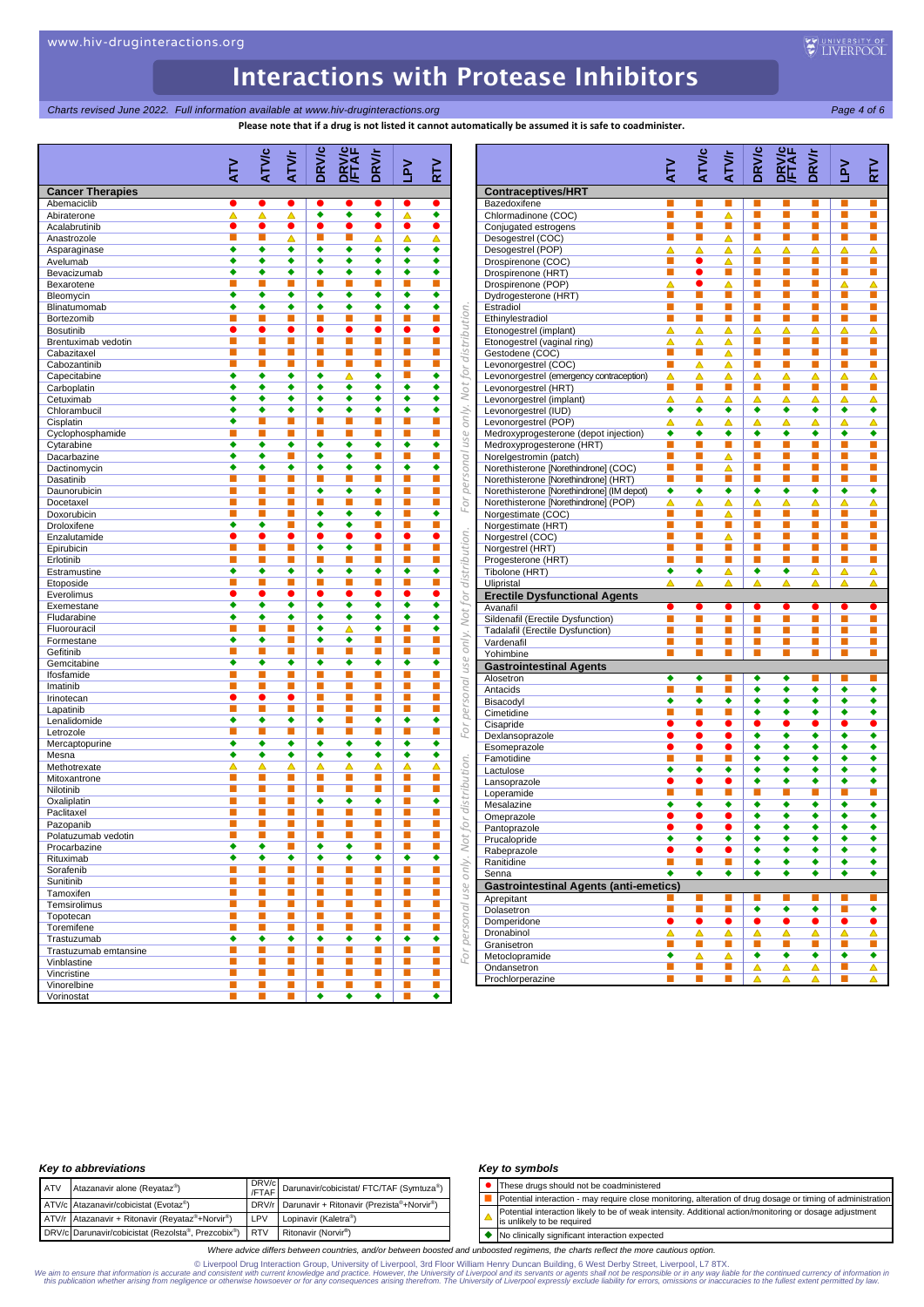## Interactions with Protease Inhibitors

*Charts revised June 2022. Full information available at www.hiv-druginteractions.org Page 4 of 6*

|                         | ≧<br>∡                      | ATVIC         | ATV/r                | <b>DRV/c</b> | <b>DRV/C</b><br>FTAF        | <b>DRV/r</b>                | $Y_{41}$                    | RTV                         |
|-------------------------|-----------------------------|---------------|----------------------|--------------|-----------------------------|-----------------------------|-----------------------------|-----------------------------|
|                         |                             |               |                      |              |                             |                             |                             |                             |
| <b>Cancer Therapies</b> |                             |               |                      |              |                             |                             |                             | e                           |
| Abemaciclib             | $\bullet$                   |               | $\bullet$            |              | $\bullet$                   |                             | $\bullet$                   |                             |
| Abiraterone             | Δ                           | Δ             | Δ                    | ۰            | ٠                           | ٠                           | Δ                           | ٠                           |
| Acalabrutinib           | $\bullet$                   | $\bullet$     | $\bullet$            | $\bullet$    | $\bullet$                   | $\bullet$                   | $\bullet$                   | $\bullet$                   |
| Anastrozole             | П                           | п             | Δ                    | П            | E.                          | Δ                           | Δ                           | Δ                           |
| Asparaginase            | ٠                           | ٠             | ۰                    | ٠            | ٠                           | ٠                           | ٠                           | ٠                           |
| Avelumab                | ٠                           | ٠             | ٠                    | ٠            | ٠                           | ٠                           | ٠                           | ٠                           |
|                         | ٠                           | ٠             |                      |              |                             |                             |                             |                             |
| Bevacizumab             |                             |               | ٠                    | ٠            | ٠                           | ٠                           | ٠                           | ٠                           |
| Bexarotene              | п                           |               | П                    | П            | E.                          | п                           | п                           | Τ                           |
| Bleomycin               | ٠                           | ٠             | ٠                    | ٠            | ٠                           | ٠                           | ٠                           | ٠                           |
| Blinatumomab            | ٠                           | ٠             | ٠                    | ٠            | ٠                           | ٠                           | ٠                           | ٠                           |
|                         |                             |               |                      |              |                             |                             |                             |                             |
| Bortezomib              | п                           | п             | п                    | п            | п                           | п                           | п                           | п                           |
| <b>Bosutinib</b>        |                             | 0             | $\bullet$            | $\bullet$    | $\bullet$                   | $\bullet$                   | $\bullet$                   | e                           |
| Brentuximab vedotin     | п                           | ш             | п                    | п            | L.                          | ×                           | П                           | ■                           |
| Cabazitaxel             | п                           | п             | п                    | П            | T.                          | ×                           | ш                           | П                           |
|                         | п                           | п             | П                    | П            |                             |                             |                             |                             |
| Cabozantinib            |                             |               |                      |              | $\mathcal{L}_{\mathcal{A}}$ | D.                          | ш                           | E                           |
| Capecitabine            | ٠                           | ٠             | ٠                    | ٠            | Δ                           | ٠                           | п                           | ٠                           |
| Carboplatin             | ٠                           | ٠             | ٠                    | ٠            | ٠                           | ٠                           | ٠                           | ٠                           |
| Cetuximab               | ٠                           | ٠             | ٠                    | ٠            | ٠                           | ٠                           | ٠                           | ٠                           |
| Chlorambucil            | ٠                           | ۰             | ٠                    | ٠            | ٠                           | ٠                           | ٠                           | ٠                           |
| Cisplatin               | ٠                           | п             | п                    | П            | E.                          | П                           | П                           | п                           |
|                         |                             |               |                      |              |                             |                             |                             |                             |
| Cyclophosphamide        | П                           | п             | п                    | П            | I.                          | L.                          | L.                          | E                           |
| Cytarabine              | ٠                           | ٠             | ٠                    | ٠            | ٠                           | ٠                           | ٠                           | ٠                           |
| Dacarbazine             | ٠                           | ٠             | П                    | ٠            | ٠                           | п                           | п                           | п                           |
| Dactinomycin            | ٠                           | ۰             | ٠                    | ٠            | ٠                           | ٠                           | ٠                           | ٠                           |
| Dasatinib               | п                           | п             | П                    | П            | П                           | п                           | П                           | п                           |
|                         | П                           | п             | п                    | ٠            | ٠                           | ٠                           | П                           |                             |
| Daunorubicin            |                             |               |                      |              |                             |                             |                             | п                           |
| Docetaxel               | П                           | п             | П                    | П            | п                           | П                           | п                           | п                           |
| Doxorubicin             | П                           | п             | П                    | ٠            | ٠                           | ٠                           | п                           | ٠                           |
| Droloxifene             | ٠                           | ٠             | П                    | ٠            | ٠                           | п                           | П                           | г                           |
| Enzalutamide            |                             |               | $\bullet$            |              | O                           | $\bullet$                   | $\bullet$                   | $\bullet$                   |
| Epirubicin              | п                           | п             | п                    | ٠            | ٠                           | п                           | П                           | ×                           |
|                         |                             | п             |                      |              |                             |                             |                             |                             |
| Erlotinib               | п                           |               | п                    | П            | $\mathcal{L}_{\mathcal{A}}$ | L.                          | <b>C</b>                    | $\mathcal{L}_{\mathcal{A}}$ |
| Estramustine            | ٠                           | ٠             | ٠                    | ٠            | ٠                           | ٠                           | ٠                           | ٠                           |
| Etoposide               | П                           | п             | п                    | П            | L.                          | D.                          | L.                          | п                           |
| Everolimus              | $\bullet$                   | ●             | ٠                    | $\bullet$    | $\bullet$                   | $\bullet$                   | $\bullet$                   | $\bullet$                   |
| Exemestane              | ٠                           | ٠             | ٠                    | ٠            | ٠                           | ٠                           | ٠                           | ٠                           |
| Fludarabine             | ٠                           | ٠             | ٠                    | ٠            | ٠                           | ٠                           | ٠                           | ٠                           |
| Fluorouracil            | п                           | п             | П                    | ٠            | Δ                           | ٠                           | П                           | ٠                           |
|                         |                             |               |                      |              |                             |                             |                             |                             |
| Formestane              | ٠                           | ٠             | ш                    | ٠            | ٠                           | п                           | п                           | п                           |
| Gefitinib               |                             |               | П                    | П            | П                           | П                           | П                           | п                           |
| Gemcitabine             | ٠                           | ۰             | $\overline{\bullet}$ | ٠            | ٠                           | ٠                           | ٠                           | ٠                           |
| Ifosfamide              | П                           | п             | П                    | П            | E.                          | п                           | П                           | г                           |
| Imatinib                | П                           | п             | п                    | П            | п                           | ×                           | п                           | п                           |
| Irinotecan              | ●                           | О             | $\bullet$            | П            | п                           | п                           | П                           | ×                           |
|                         |                             |               |                      |              |                             |                             |                             |                             |
| Lapatinib               | П                           | п             | п                    | П            | L.                          | $\mathcal{L}_{\mathcal{A}}$ | <b>C</b>                    | E                           |
| Lenalidomide            | ٠                           | ٠             | ٠                    | ٠            | п                           | ٠                           | ٠                           | ٠                           |
| Letrozole               | п                           | п             | п                    | П            | L.                          | п                           | П                           | п                           |
| Mercaptopurine          | ٠                           | ٠             | ٠                    | ٠            | ٠                           | ٠                           | ٠                           | ٠                           |
| Mesna                   | ٠                           | ٠             | ٠                    | ٠            | ٠                           | ٠                           | ٠                           | ٠                           |
|                         |                             |               |                      |              |                             |                             |                             |                             |
| Methotrexate            | Δ                           | Δ             | Δ                    | Δ            | Δ                           | Δ                           | Δ                           | Δ                           |
| Mitoxantrone            | П                           | ш             | п                    | П            | L.                          | L.                          | L.                          | п                           |
| Nilotinib               | П                           | п             | п                    | п            | п                           | п                           | П                           | ×                           |
| Oxaliplatin             | П                           | п             | П                    | ٠            | ٠                           | ٠                           | п                           | ٠                           |
| Paclitaxel              | п                           | п             | ш                    | п            | п                           | п                           | п                           | п                           |
|                         |                             |               |                      |              |                             |                             |                             |                             |
| Pazopanib               | ш                           | ш             | ▬                    | ш            | п                           | п                           | п                           | п                           |
| Polatuzumab vedotin     | п                           | п             | п                    | ш            | ×                           | ×                           | п                           | п                           |
| Procarbazine            | ۰                           | ٠             | п                    | ۰            | ٠                           | $\mathbb{R}^n$              | п                           | п                           |
| Rituximab               | ۰                           | ٠             | ٠                    | ٠            | ٠                           | ۰                           | ۰                           | ٠                           |
| Sorafenib               | П                           | п             | п                    | п            | L.                          | ×                           | п                           | ×                           |
|                         |                             |               |                      |              |                             |                             |                             |                             |
| Sunitinib               | п                           | ш             | п                    | ш            | $\mathbb{R}^n$              | п                           | п                           | ×                           |
| Tamoxifen               | П                           | ш             | п                    | <b>I</b>     | $\mathbb{R}^n$              | $\mathbf{L}$                | $\mathcal{L}_{\mathcal{A}}$ | ×                           |
| Temsirolimus            | П                           | ш             | п                    | <b>I</b>     | $\mathbb{R}^n$              | L.                          | <b>I</b>                    | $\mathcal{L}_{\mathcal{A}}$ |
| Topotecan               | П                           | ш             | п                    | <b>I</b>     | $\mathbb{R}^n$              | L.                          | п                           | ×                           |
| Toremifene              | П                           | ш             | u.                   | Т.           | $\mathcal{L}_{\mathcal{A}}$ | $\mathcal{L}_{\mathcal{A}}$ | п                           | <b>D</b>                    |
|                         | ٠                           | ۰             | ٠                    |              | ٠                           | ٠                           |                             | ٠                           |
|                         |                             |               |                      | ٠            |                             |                             | ۰                           |                             |
| Trastuzumab             |                             |               |                      |              |                             |                             |                             |                             |
| Trastuzumab emtansine   | $\mathcal{L}_{\mathcal{A}}$ | $\mathcal{C}$ | u.                   | <b>I</b>     | L.                          | L.                          | ш                           | $\mathcal{L}_{\mathcal{A}}$ |
| Vinblastine             | П                           | п             | п                    | П            | ×                           | п                           | п                           | п                           |
| Vincristine             | П                           | ш             | п                    | ш            | $\mathbb{Z}$                | п                           | $\mathcal{L}_{\mathcal{A}}$ | m.                          |

### *Key to abbreviations*

| <b>ATV</b> | Atazanavir alone (Reyataz <sup>®</sup> )               |     | DRV/c<br>/FTAF Darunavir/cobicistat/ FTC/TAF (Symtuza <sup>®</sup> ) |
|------------|--------------------------------------------------------|-----|----------------------------------------------------------------------|
|            | ATV/c Atazanavir/cobicistat (Evotaz®)                  |     | DRV/r Darunavir + Ritonavir (Prezista®+Norvir®)                      |
|            | ATV/r Atazanavir + Ritonavir (Reyataz®+Norvir®)        | LPV | Lopinavir (Kaletra®)                                                 |
|            | DRV/c Darunavir/cobicistat (Rezolsta®, Prezcobix®) RTV |     | Ritonavir (Norvir <sup>®</sup> )                                     |

### *Key to symbols*

- ⚫ These drugs should not be coadministered
- Potential interaction may require close monitoring, alteration of drug dosage or timing of administration
- Potential interaction likely to be of weak intensity. Additional action/monitoring or dosage adjustment  $\blacktriangle$ is unlikely to be required
- ◆ No clinically significant interaction expected

*Where advice differs between countries, and/or between boosted and unboosted regimens, the charts reflect the more cautious option.*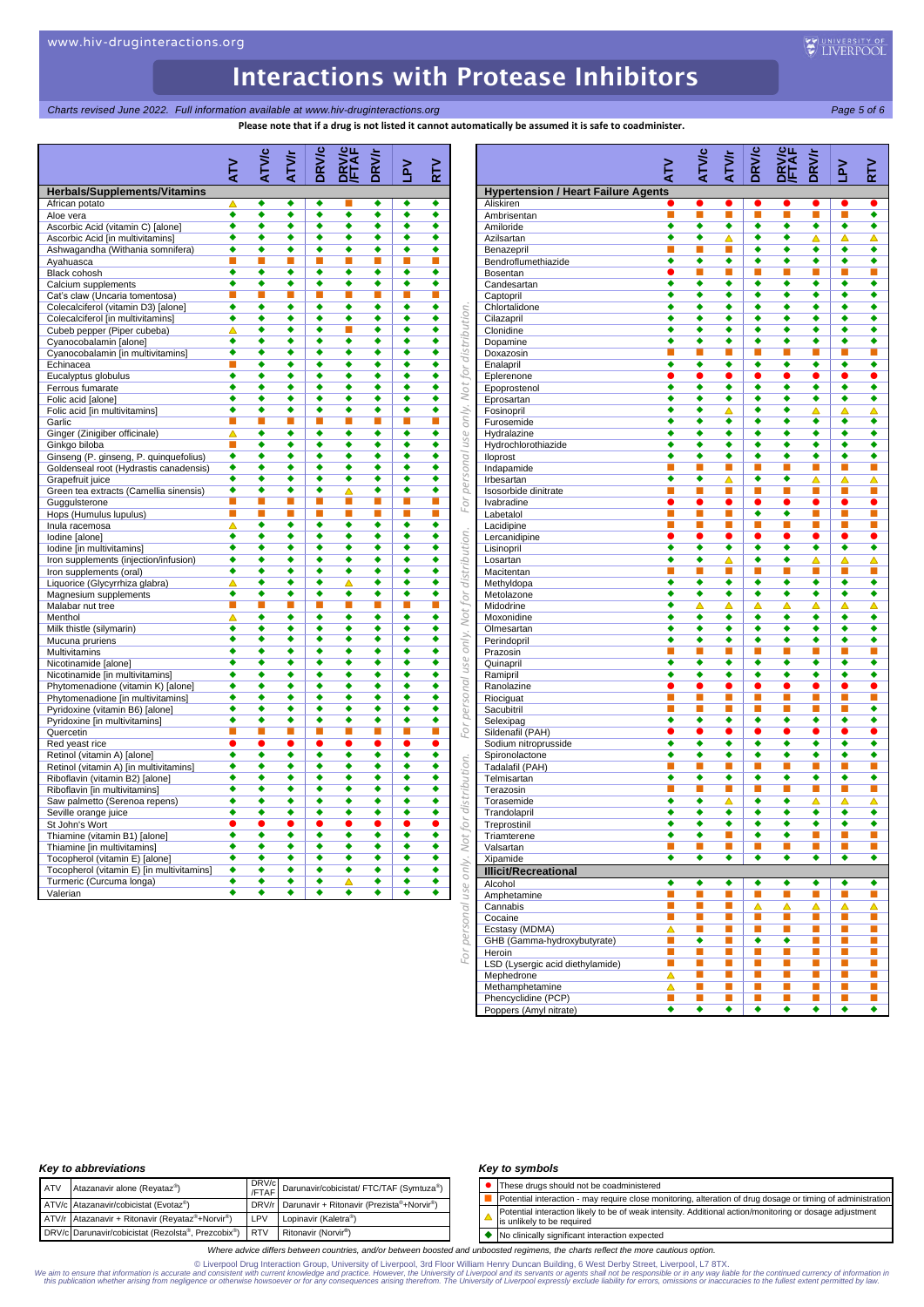## *Charts revised June 2022. Full information available at www.hiv-druginteractions.org Page 5 of 6*

**Please note that if a drug is not listed it cannot automatically be assumed it is safe to coadminister.**

| <b>Herbals/Supplements/Vitamins</b><br>African potato<br>Aloe vera<br>Ascorbic Acid (vitamin C) [alone]<br>Ascorbic Acid [in multivitamins]<br>Ashwagandha (Withania somnifera)<br>Ayahuasca<br>Black cohosh<br>Calcium supplements<br>Cat's claw (Uncaria tomentosa)<br>Colecalciferol (vitamin D3) [alone]<br>Colecalciferol [in multivitamins]<br>Cubeb pepper (Piper cubeba)<br>Cyanocobalamin [alone]<br>Cyanocobalamin [in multivitamins]<br>Echinacea<br>Eucalyptus globulus<br>Ferrous fumarate<br>Folic acid [alone]<br>Folic acid [in multivitamins]<br>Garlic<br>Ginger (Zinigiber officinale)<br>Ginkgo biloba<br>Ginseng (P. ginseng, P. quinquefolius) | ζ<br>Δ<br>٠<br>٠<br>٠<br>٠<br>٠<br>٠<br>п<br>٠<br>٠<br>Δ<br>٠<br>٠<br>П<br>٠<br>٠<br>٠<br>٠ | ATVIC<br>٠<br>٠<br>٠<br>٠<br>٠<br>٠<br>٠<br>п<br>٠<br>٠<br>٠<br>٠<br>٠<br>٠<br>٠ | ATV/r<br>٠<br>٠<br>٠<br>٠<br>٠<br>٠<br>٠<br>п<br>٠<br>٠<br>٠<br>٠<br>٠ | <b>DRV/c</b><br>٠<br>٠<br>٠<br>٠<br>٠<br>٠<br>٠<br>п<br>٠<br>٠<br>٠<br>٠ | <b>PRV/c</b><br>ш<br>٠<br>٠<br>٠<br>٠<br>٠<br>٠<br>П<br>٠<br>٠ | <b>DRV/r</b><br>٠<br>٠<br>٠<br>٠<br>٠<br>٠<br>٠<br>П<br>٠<br>٠ | ₹<br>٠<br>٠<br>٠<br>٠<br>٠<br>٠<br>٠<br>П<br>٠<br>٠ | ∠<br>⊾<br>٠<br>٠<br>٠<br>٠<br>٠<br>٠<br>٠<br>п<br>٠ |
|----------------------------------------------------------------------------------------------------------------------------------------------------------------------------------------------------------------------------------------------------------------------------------------------------------------------------------------------------------------------------------------------------------------------------------------------------------------------------------------------------------------------------------------------------------------------------------------------------------------------------------------------------------------------|---------------------------------------------------------------------------------------------|----------------------------------------------------------------------------------|------------------------------------------------------------------------|--------------------------------------------------------------------------|----------------------------------------------------------------|----------------------------------------------------------------|-----------------------------------------------------|-----------------------------------------------------|
|                                                                                                                                                                                                                                                                                                                                                                                                                                                                                                                                                                                                                                                                      |                                                                                             |                                                                                  |                                                                        |                                                                          |                                                                |                                                                |                                                     |                                                     |
|                                                                                                                                                                                                                                                                                                                                                                                                                                                                                                                                                                                                                                                                      |                                                                                             |                                                                                  |                                                                        |                                                                          |                                                                |                                                                |                                                     |                                                     |
|                                                                                                                                                                                                                                                                                                                                                                                                                                                                                                                                                                                                                                                                      |                                                                                             |                                                                                  |                                                                        |                                                                          |                                                                |                                                                |                                                     |                                                     |
|                                                                                                                                                                                                                                                                                                                                                                                                                                                                                                                                                                                                                                                                      |                                                                                             |                                                                                  |                                                                        |                                                                          |                                                                |                                                                |                                                     |                                                     |
|                                                                                                                                                                                                                                                                                                                                                                                                                                                                                                                                                                                                                                                                      |                                                                                             |                                                                                  |                                                                        |                                                                          |                                                                |                                                                |                                                     |                                                     |
|                                                                                                                                                                                                                                                                                                                                                                                                                                                                                                                                                                                                                                                                      |                                                                                             |                                                                                  |                                                                        |                                                                          |                                                                |                                                                |                                                     |                                                     |
|                                                                                                                                                                                                                                                                                                                                                                                                                                                                                                                                                                                                                                                                      |                                                                                             |                                                                                  |                                                                        |                                                                          |                                                                |                                                                |                                                     |                                                     |
|                                                                                                                                                                                                                                                                                                                                                                                                                                                                                                                                                                                                                                                                      |                                                                                             |                                                                                  |                                                                        |                                                                          |                                                                |                                                                |                                                     |                                                     |
|                                                                                                                                                                                                                                                                                                                                                                                                                                                                                                                                                                                                                                                                      |                                                                                             |                                                                                  |                                                                        |                                                                          |                                                                |                                                                |                                                     |                                                     |
|                                                                                                                                                                                                                                                                                                                                                                                                                                                                                                                                                                                                                                                                      |                                                                                             |                                                                                  |                                                                        |                                                                          |                                                                |                                                                |                                                     |                                                     |
|                                                                                                                                                                                                                                                                                                                                                                                                                                                                                                                                                                                                                                                                      |                                                                                             |                                                                                  |                                                                        |                                                                          |                                                                |                                                                |                                                     | ٠                                                   |
|                                                                                                                                                                                                                                                                                                                                                                                                                                                                                                                                                                                                                                                                      |                                                                                             |                                                                                  |                                                                        |                                                                          |                                                                | ٠                                                              | ٠                                                   | ٠                                                   |
|                                                                                                                                                                                                                                                                                                                                                                                                                                                                                                                                                                                                                                                                      |                                                                                             |                                                                                  |                                                                        |                                                                          | ٠                                                              | ٠                                                              | ٠                                                   | ٠                                                   |
|                                                                                                                                                                                                                                                                                                                                                                                                                                                                                                                                                                                                                                                                      |                                                                                             |                                                                                  |                                                                        | ٠                                                                        | ٠                                                              | ٠                                                              | ٠                                                   | ٠                                                   |
|                                                                                                                                                                                                                                                                                                                                                                                                                                                                                                                                                                                                                                                                      |                                                                                             |                                                                                  | ٠                                                                      | ٠                                                                        | ٠                                                              | ٠                                                              | ٠                                                   | ٠                                                   |
|                                                                                                                                                                                                                                                                                                                                                                                                                                                                                                                                                                                                                                                                      |                                                                                             |                                                                                  | ٠                                                                      | ٠                                                                        | ٠                                                              | ٠                                                              | ٠                                                   | ٠                                                   |
|                                                                                                                                                                                                                                                                                                                                                                                                                                                                                                                                                                                                                                                                      |                                                                                             | ٠                                                                                | ٠                                                                      | ٠                                                                        | ٠                                                              | ٠                                                              | ٠                                                   | ٠                                                   |
|                                                                                                                                                                                                                                                                                                                                                                                                                                                                                                                                                                                                                                                                      |                                                                                             | ٠                                                                                | ٠                                                                      | ٠                                                                        | ٠                                                              | ٠                                                              | ٠                                                   | ٠                                                   |
|                                                                                                                                                                                                                                                                                                                                                                                                                                                                                                                                                                                                                                                                      |                                                                                             | ٠                                                                                | ٠                                                                      | ٠                                                                        | ٠                                                              | ٠                                                              | ٠                                                   | ٠                                                   |
|                                                                                                                                                                                                                                                                                                                                                                                                                                                                                                                                                                                                                                                                      | п                                                                                           |                                                                                  |                                                                        |                                                                          |                                                                | ■                                                              | ■                                                   | ■                                                   |
|                                                                                                                                                                                                                                                                                                                                                                                                                                                                                                                                                                                                                                                                      | Δ                                                                                           | ٠                                                                                | ٠                                                                      | ٠                                                                        | ٠                                                              | ٠                                                              | ٠                                                   | ٠                                                   |
|                                                                                                                                                                                                                                                                                                                                                                                                                                                                                                                                                                                                                                                                      | п                                                                                           | ٠                                                                                | ٠                                                                      | ٠                                                                        | ٠                                                              | ٠                                                              | ٠                                                   | ٠                                                   |
|                                                                                                                                                                                                                                                                                                                                                                                                                                                                                                                                                                                                                                                                      | ٠<br>٠                                                                                      | ٠<br>٠                                                                           | ٠<br>٠                                                                 | ٠<br>٠                                                                   | ٠<br>٠                                                         | ٠<br>٠                                                         | ٠<br>٠                                              | ٠<br>٠                                              |
| Goldenseal root (Hydrastis canadensis)                                                                                                                                                                                                                                                                                                                                                                                                                                                                                                                                                                                                                               | ٠                                                                                           | ٠                                                                                | ٠                                                                      | ٠                                                                        | ٠                                                              | ٠                                                              | ٠                                                   | ٠                                                   |
| Grapefruit juice<br>Green tea extracts (Camellia sinensis)                                                                                                                                                                                                                                                                                                                                                                                                                                                                                                                                                                                                           | ٠                                                                                           | ٠                                                                                | ٠                                                                      | ٠                                                                        | Δ                                                              | ٠                                                              | ٠                                                   | ٠                                                   |
| Guggulsterone                                                                                                                                                                                                                                                                                                                                                                                                                                                                                                                                                                                                                                                        | п                                                                                           | п                                                                                | п                                                                      |                                                                          | П                                                              | П                                                              | П                                                   | п                                                   |
| Hops (Humulus lupulus)                                                                                                                                                                                                                                                                                                                                                                                                                                                                                                                                                                                                                                               | п                                                                                           | п                                                                                | ■                                                                      | п                                                                        | П                                                              | п                                                              | П                                                   | п                                                   |
| Inula racemosa                                                                                                                                                                                                                                                                                                                                                                                                                                                                                                                                                                                                                                                       | Δ                                                                                           | ٠                                                                                | ٠                                                                      | ٠                                                                        | ٠                                                              | ٠                                                              | ٠                                                   | ٠                                                   |
| Iodine [alone]                                                                                                                                                                                                                                                                                                                                                                                                                                                                                                                                                                                                                                                       | ٠                                                                                           | ٠                                                                                | ٠                                                                      | ٠                                                                        | ٠                                                              | ٠                                                              | ٠                                                   | ٠                                                   |
| Iodine [in multivitamins]                                                                                                                                                                                                                                                                                                                                                                                                                                                                                                                                                                                                                                            | ٠                                                                                           | ٠                                                                                | ٠                                                                      | ٠                                                                        | ٠                                                              | ٠                                                              | ٠                                                   | ٠                                                   |
| Iron supplements (injection/infusion)                                                                                                                                                                                                                                                                                                                                                                                                                                                                                                                                                                                                                                | ٠                                                                                           | ٠                                                                                | ٠                                                                      | ٠                                                                        | ٠                                                              | ٠                                                              | ٠                                                   | ٠                                                   |
| Iron supplements (oral)                                                                                                                                                                                                                                                                                                                                                                                                                                                                                                                                                                                                                                              | ٠                                                                                           | ٠                                                                                | ٠                                                                      | ٠                                                                        | ٠                                                              | ٠                                                              | ٠                                                   | ٠                                                   |
| Liquorice (Glycyrrhiza glabra)                                                                                                                                                                                                                                                                                                                                                                                                                                                                                                                                                                                                                                       | ▵                                                                                           | ٠                                                                                | ٠                                                                      | ٠                                                                        | △                                                              | ٠                                                              | ٠                                                   | ٠                                                   |
| Magnesium supplements                                                                                                                                                                                                                                                                                                                                                                                                                                                                                                                                                                                                                                                | ٠                                                                                           | ٠                                                                                | ٠                                                                      | ٠                                                                        | ٠                                                              | ٠                                                              | ٠                                                   | ٠                                                   |
| Malabar nut tree                                                                                                                                                                                                                                                                                                                                                                                                                                                                                                                                                                                                                                                     | п                                                                                           | п                                                                                | н                                                                      | н                                                                        | П                                                              | ш                                                              | ш                                                   | ш                                                   |
| Menthol                                                                                                                                                                                                                                                                                                                                                                                                                                                                                                                                                                                                                                                              | Δ                                                                                           | ٠                                                                                | ٠                                                                      | ٠                                                                        | ٠                                                              | ٠                                                              | ٠                                                   | ٠                                                   |
| Milk thistle (silymarin)                                                                                                                                                                                                                                                                                                                                                                                                                                                                                                                                                                                                                                             | ٠                                                                                           | ٠                                                                                | ٠                                                                      | ٠                                                                        | ٠                                                              | ٠                                                              | ٠                                                   | ٠                                                   |
| Mucuna pruriens                                                                                                                                                                                                                                                                                                                                                                                                                                                                                                                                                                                                                                                      | ٠                                                                                           | ٠                                                                                | ٠<br>٠                                                                 | ٠<br>٠                                                                   | ٠                                                              | ٠<br>٠                                                         | ٠<br>٠                                              | ٠                                                   |
| Multivitamins                                                                                                                                                                                                                                                                                                                                                                                                                                                                                                                                                                                                                                                        | ٠<br>٠                                                                                      | ٠<br>٠                                                                           | ٠                                                                      | ٠                                                                        | ٠<br>٠                                                         | ٠                                                              | ٠                                                   | ٠<br>٠                                              |
| Nicotinamide [alone]                                                                                                                                                                                                                                                                                                                                                                                                                                                                                                                                                                                                                                                 | ٠                                                                                           | ٠                                                                                | ٠                                                                      | ٠                                                                        | ٠                                                              | ٠                                                              | ٠                                                   | ٠                                                   |
| Nicotinamide [in multivitamins]<br>Phytomenadione (vitamin K) [alone]                                                                                                                                                                                                                                                                                                                                                                                                                                                                                                                                                                                                | ٠                                                                                           | ٠                                                                                | ٠                                                                      | ٠                                                                        | ٠                                                              | ٠                                                              | ٠                                                   | ٠                                                   |
| Phytomenadione [in multivitamins]                                                                                                                                                                                                                                                                                                                                                                                                                                                                                                                                                                                                                                    | ٠                                                                                           | ٠                                                                                | ٠                                                                      | ٠                                                                        | ٠                                                              | ٠                                                              | ٠                                                   | ٠                                                   |
| Pyridoxine (vitamin B6) [alone]                                                                                                                                                                                                                                                                                                                                                                                                                                                                                                                                                                                                                                      | ٠                                                                                           | ٠                                                                                | ٠                                                                      | ٠                                                                        | ٠                                                              | ٠                                                              | ٠                                                   | ٠                                                   |
| Pyridoxine [in multivitamins]                                                                                                                                                                                                                                                                                                                                                                                                                                                                                                                                                                                                                                        | ٠                                                                                           | ٠                                                                                | ٠                                                                      | ٠                                                                        | ٠                                                              | ٠                                                              | ٠                                                   | ٠                                                   |
| Quercetin                                                                                                                                                                                                                                                                                                                                                                                                                                                                                                                                                                                                                                                            | П                                                                                           | ■                                                                                | ■                                                                      | ■                                                                        | п                                                              | п                                                              | п                                                   | п                                                   |
| Red yeast rice                                                                                                                                                                                                                                                                                                                                                                                                                                                                                                                                                                                                                                                       | $\bullet$                                                                                   |                                                                                  | $\bullet$                                                              |                                                                          | $\bullet$                                                      | $\bullet$                                                      | $\bullet$                                           | $\bullet$                                           |
| Retinol (vitamin A) [alone]                                                                                                                                                                                                                                                                                                                                                                                                                                                                                                                                                                                                                                          | ٠                                                                                           | ٠                                                                                | ٠                                                                      | ٠                                                                        | ٠                                                              | ٠                                                              | ٠                                                   | ٠                                                   |
| Retinol (vitamin A) [in multivitamins]                                                                                                                                                                                                                                                                                                                                                                                                                                                                                                                                                                                                                               | ٠                                                                                           | ٠                                                                                | ٠                                                                      | ٠                                                                        | ٠                                                              | ٠                                                              | ٠                                                   | ٠                                                   |
| Riboflavin (vitamin B2) [alone]                                                                                                                                                                                                                                                                                                                                                                                                                                                                                                                                                                                                                                      | ٠                                                                                           | ٠                                                                                | ٠                                                                      | ٠                                                                        | ٠                                                              | ٠                                                              | ٠                                                   | ٠                                                   |
| Riboflavin [in multivitamins]                                                                                                                                                                                                                                                                                                                                                                                                                                                                                                                                                                                                                                        | ٠                                                                                           | ٠                                                                                | ٠                                                                      | ٠                                                                        | ٠                                                              | ٠                                                              | ٠                                                   | ٠                                                   |
| Saw palmetto (Serenoa repens)                                                                                                                                                                                                                                                                                                                                                                                                                                                                                                                                                                                                                                        | ٠                                                                                           | ٠                                                                                | ٠                                                                      | ٠                                                                        | ٠                                                              | ٠                                                              | ٠                                                   | ٠                                                   |
| Seville orange juice                                                                                                                                                                                                                                                                                                                                                                                                                                                                                                                                                                                                                                                 | ٠                                                                                           | ٠                                                                                | ٠                                                                      | ٠                                                                        | ٠                                                              | ٠                                                              | ٠                                                   | ٠                                                   |
| St John's Wort                                                                                                                                                                                                                                                                                                                                                                                                                                                                                                                                                                                                                                                       |                                                                                             |                                                                                  |                                                                        | 0                                                                        | e                                                              | 0                                                              | e                                                   | $\bullet$                                           |
| Thiamine (vitamin B1) [alone]                                                                                                                                                                                                                                                                                                                                                                                                                                                                                                                                                                                                                                        | ٠                                                                                           |                                                                                  |                                                                        |                                                                          | ٠                                                              |                                                                | ٠                                                   |                                                     |
| Thiamine [in multivitamins]                                                                                                                                                                                                                                                                                                                                                                                                                                                                                                                                                                                                                                          | ٠                                                                                           | ٠                                                                                | ٠                                                                      | ٠                                                                        | ٠                                                              | ٠                                                              | ٠                                                   | ٠                                                   |
| Tocopherol (vitamin E) [alone]                                                                                                                                                                                                                                                                                                                                                                                                                                                                                                                                                                                                                                       | ٠                                                                                           | ٠                                                                                | ٠                                                                      | ٠                                                                        | ٠                                                              | ٠                                                              | ٠                                                   | ٠                                                   |
| Tocopherol (vitamin E) [in multivitamins]<br>Turmeric (Curcuma longa)                                                                                                                                                                                                                                                                                                                                                                                                                                                                                                                                                                                                | ٠<br>٠                                                                                      | ٠<br>٠                                                                           | ٠<br>٠                                                                 | ٠<br>٠                                                                   | ٠<br>Δ                                                         | ٠<br>٠                                                         | ٠<br>٠                                              | ٠<br>٠                                              |
| Valerian                                                                                                                                                                                                                                                                                                                                                                                                                                                                                                                                                                                                                                                             | ٠                                                                                           | ٠                                                                                | ٠                                                                      | ٠                                                                        | ٠                                                              | ٠                                                              | ٠                                                   | ٠                                                   |
|                                                                                                                                                                                                                                                                                                                                                                                                                                                                                                                                                                                                                                                                      |                                                                                             |                                                                                  |                                                                        |                                                                          |                                                                |                                                                |                                                     |                                                     |

|                                            | ੋ<br>≼                            | <b>ATVIC</b>   | ATV/r                       | <b>DRV/c</b>              | <b>DRV/C</b><br>FTAF      | <b>DRV/r</b>                | ζđ                        | ج<br>ج                    |
|--------------------------------------------|-----------------------------------|----------------|-----------------------------|---------------------------|---------------------------|-----------------------------|---------------------------|---------------------------|
| <b>Hypertension / Heart Failure Agents</b> |                                   |                |                             |                           |                           |                             |                           |                           |
| Aliskiren                                  |                                   |                |                             |                           |                           |                             |                           |                           |
| Ambrisentan                                | п                                 | п              | п                           | п                         | п                         | П                           | П                         | ٠                         |
| Amiloride                                  | ٠                                 | ٠              | ٠                           | ٠                         | ٠                         | ٠                           | ٠                         | ٠                         |
| Azilsartan<br>Benazepril                   | ٠<br>п                            | ٠<br>П         | Δ                           | ٠<br>$\overline{\bullet}$ | ٠<br>$\overline{\bullet}$ | Δ<br>∙                      | Δ<br>$\overline{\bullet}$ | Δ<br>$\overline{\bullet}$ |
| Bendroflumethiazide                        | $\overline{\bullet}$              | ٠              | ٠                           | ٠                         | ٠                         | ٠                           | ٠                         | ٠                         |
| Bosentan                                   | $\bullet$                         | п              | П                           | п                         | п                         | п                           | П                         | П                         |
| Candesartan                                | ٠                                 | ٠              | ٠                           | ٠                         | ٠                         | ٠                           | ٠                         | ٠                         |
| Captopril                                  | ٠                                 | ٠              | ٠                           | ٠                         | ٠                         | ٠                           | ٠                         | ٠                         |
| Chlortalidone<br>Cilazapril                | ٠<br>٠                            | ٠<br>٠         | ٠<br>٠                      | ٠<br>٠                    | ٠<br>٠                    | ٠<br>٠                      | ٠<br>٠                    | ٠<br>٠                    |
| Clonidine                                  | ٠                                 | ٠              | ٠                           | ٠                         | ٠                         | ٠                           | ٠                         | ٠                         |
| Dopamine                                   | ◆                                 | ٠              | ٠                           | $\overline{\bullet}$      | $\overline{\bullet}$      | $\overline{\bullet}$        | ◆                         | ◆                         |
| Doxazosin                                  | П                                 |                |                             | П                         |                           | п                           | П                         |                           |
| Enalapril                                  | ٠                                 | ٠              | ٠                           | ٠                         | ٠                         | ٠                           | ٠                         | ٠                         |
| Eplerenone                                 | $\bullet$                         | $\bullet$      | $\bullet$                   |                           |                           | $\bullet$                   | $\bullet$                 |                           |
| Epoprostenol                               | ٠<br>٠                            | ٠<br>٠         | ٠<br>٠                      | ٠<br>٠                    | ٠<br>٠                    | ٠<br>٠                      | ٠<br>٠                    | ٠<br>٠                    |
| Eprosartan<br>Fosinopril                   | ٠                                 | ٠              | ▵                           | ٠                         | ٠                         | ▵                           | Δ                         | Δ                         |
| Furosemide                                 | ٠                                 | ٠              | ٠                           | ٠                         | ٠                         | ٠                           | ٠                         | ٠                         |
| Hydralazine                                | ٠                                 | ٠              | ٠                           | ٠                         | ٠                         | ٠                           | ٠                         | ٠                         |
| Hydrochlorothiazide                        | ٠                                 | ٠              | ٠                           | ٠                         | ٠                         | ٠                           | ٠                         | ٠                         |
| lloprost                                   | ٠                                 | ٠              | ٠                           | ٠                         | ٠                         | ٠                           | ٠                         | ٠                         |
| Indapamide                                 | п                                 | п              | П                           | п                         | п                         | П                           | П                         | П                         |
| Irbesartan<br>Isosorbide dinitrate         | ٠<br>п                            | ٠<br>ū         | Δ<br>п                      | ٠<br>п                    | ٠<br>п                    | Δ<br>П                      | Δ<br>П                    | Δ<br>П                    |
| Ivabradine                                 |                                   |                |                             |                           |                           |                             | $\bullet$                 |                           |
| Labetalol                                  | п                                 | п              | п                           | ٠                         | ٠                         | П                           | П                         | П                         |
| Lacidipine                                 |                                   |                |                             |                           |                           |                             |                           |                           |
| Lercanidipine                              | $\bullet$                         | $\bullet$      | $\bullet$                   | $\bullet$                 | $\bullet$                 | $\bullet$                   | $\bullet$                 | $\bullet$                 |
| Lisinopril                                 | ٠                                 | ٠              | ٠                           | ٠                         | ٠                         | ٠                           | ٠                         | ٠                         |
| Losartan                                   | ٠                                 | ٠              | Δ<br>п                      | ٠                         | ٠                         | Δ                           | Δ<br>П                    | Δ<br>П                    |
| Macitentan<br>Methyldopa                   | п<br>٠                            | ٠              | ٠                           | п<br>٠                    | ٠                         | П<br>٠                      | ٠                         | ٠                         |
| Metolazone                                 | ٠                                 | ٠              | ٠                           | ٠                         | ٠                         | ٠                           | ٠                         | ٠                         |
| Midodrine                                  | ٠                                 | ▵              | Δ                           | ▵                         | ▵                         | ᅀ                           | Δ                         | ▵                         |
| Moxonidine                                 | ٠                                 | ٠              | ٠                           | ٠                         | ٠                         | ٠                           | ٠                         | ٠                         |
| Olmesartan                                 | ٠                                 | ٠              | ٠                           | ٠                         | ٠                         | ٠                           | ٠                         | ٠                         |
| Perindopril                                | ٠                                 | ٠              | ٠                           | ٠                         | ٠                         | ٠                           | ٠                         | ٠                         |
| Prazosin                                   | ш<br>٠                            | ٠              | ı.<br>٠                     | n a<br>٠                  | ٠                         | н<br>٠                      | ш<br>٠                    | L<br>٠                    |
| Quinapril<br>Ramipril                      | ٠                                 | ٠              | ٠                           | ٠                         | ٠                         | ٠                           | ٠                         | ٠                         |
| Ranolazine                                 |                                   |                |                             | ●                         |                           |                             |                           |                           |
| Riociguat                                  |                                   |                |                             | П                         |                           |                             | П                         |                           |
| Sacubitril                                 | п                                 | п              | п                           | п                         | П                         | П                           | П                         | ٠                         |
| Selexipag                                  | ٠                                 | ٠              | ٠                           | ٠                         | ٠                         | ٠                           | ٠                         | ٠                         |
| Sildenafil (PAH)                           | $\bullet$<br>٠                    | $\bullet$<br>٠ | $\bullet$<br>٠              | $\bullet$<br>٠            | $\bullet$<br>٠            | $\bullet$<br>٠              | $\bullet$<br>٠            | ●<br>٠                    |
| Sodium nitroprusside<br>Spironolactone     | ٠                                 | ٠              | ٠                           | ٠                         | ٠                         | ٠                           | ٠                         | ٠                         |
| Tadalafil (PAH)                            | п                                 | ш              | Б                           | п                         |                           | п                           | П                         | П                         |
| Telmisartan                                | ٠                                 | ٠              | ٠                           | ٠                         | ٠                         | ٠                           | ٠                         | ٠                         |
| Terazosin                                  | п                                 | П              | п                           | П                         |                           | п                           | П                         | П                         |
| Torasemide                                 | ٠                                 | ٠              | Δ                           | ٠                         | ٠                         | ᅀ                           | △                         | ᅀ                         |
| Trandolapril                               | ٠                                 | ٠              | ٠                           | ٠                         | ٠                         | ٠                           | ٠                         | ٠                         |
| Treprostinil<br>Triamterene                | ٠<br>◆                            | ٠<br>٠         | ٠                           | ٠<br>◆                    | ٠<br>$\overline{\bullet}$ | ٠                           | ٠                         | ٠                         |
| Valsartan                                  |                                   |                |                             |                           |                           |                             |                           |                           |
| Xipamide                                   | ٠                                 | ٠              | ٠                           | ٠                         | ٠                         | ٠                           | ٠                         | ٠                         |
| <b>Illicit/Recreational</b>                |                                   |                |                             |                           |                           |                             |                           |                           |
| Alcohol                                    | ٠                                 | ٠              | ٠                           | ٠                         | ٠                         | ٠                           | ٠                         | ٠                         |
| Amphetamine                                | П                                 | П              | ×                           | П                         | П                         | o,                          | $\Box$                    | п                         |
| Cannabis                                   | П                                 | п              | Ē                           | Δ                         | Δ                         | Δ                           | Δ                         | Δ                         |
| Cocaine<br>Ecstasy (MDMA)                  | Т.<br>$\overline{\blacktriangle}$ | п<br>П         | п<br>П                      | п<br>п                    | П<br>П                    | П<br>П                      | п<br>П                    | п<br>×                    |
| GHB (Gamma-hydroxybutyrate)                | $\blacksquare$                    | ٠              | п                           | ٠                         | ٠                         | $\mathcal{L}_{\mathcal{A}}$ | u.                        | u.                        |
| Heroin                                     | п                                 | Т.             | Т.                          | п                         | П                         | $\mathcal{L}_{\mathcal{A}}$ | L.                        | <b>I</b>                  |
| LSD (Lysergic acid diethylamide)           | п                                 | п              | п                           | п                         | П                         | П                           | u.                        | п                         |
| Mephedrone                                 | $\overline{\blacktriangle}$       | п              | П                           | п                         | $\mathbf{r}$              | $\blacksquare$              | T.                        | п                         |
| Methamphetamine                            | Δ                                 | $\blacksquare$ | $\mathcal{L}_{\mathcal{A}}$ | $\blacksquare$            | П                         | $\mathcal{L}_{\mathcal{A}}$ | L.                        | П                         |
| Phencyclidine (PCP)                        | Т.                                | Т.             | $\mathcal{L}_{\mathcal{A}}$ | п                         | $\mathbb{R}^n$            | $\mathcal{L}_{\mathcal{A}}$ | $\Box$                    | $\Box$                    |
| Poppers (Amyl nitrate)                     | ٠                                 | ٠              | ٠                           | ٠                         | ٠                         | ٠                           | ٠                         | ٠                         |

### *Key to abbreviations*

| <b>ATV</b> | Atazanavir alone (Reyataz <sup>®</sup> )               |            | DRV/c<br>/FTAF Darunavir/cobicistat/ FTC/TAF (Symtuza <sup>®</sup> ) |
|------------|--------------------------------------------------------|------------|----------------------------------------------------------------------|
|            | ATV/c Atazanavir/cobicistat (Evotaz®)                  |            | DRV/r Darunavir + Ritonavir (Prezista®+Norvir®)                      |
|            | ATV/r Atazanavir + Ritonavir (Reyataz®+Norvir®)        | <b>LPV</b> | Lopinavir (Kaletra®)                                                 |
|            | DRV/c Darunavir/cobicistat (Rezolsta®, Prezcobix®) RTV |            | Ritonavir (Norvir <sup>®</sup> )                                     |

### *Key to symbols*

- ⚫ These drugs should not be coadministered
- Potential interaction may require close monitoring, alteration of drug dosage or timing of administration
- Potential interaction likely to be of weak intensity. Additional action/monitoring or dosage adjustment  $\Delta$ is unlikely to be required
- ◆ No clinically significant interaction expected

*Where advice differs between countries, and/or between boosted and unboosted regimens, the charts reflect the more cautious option.*